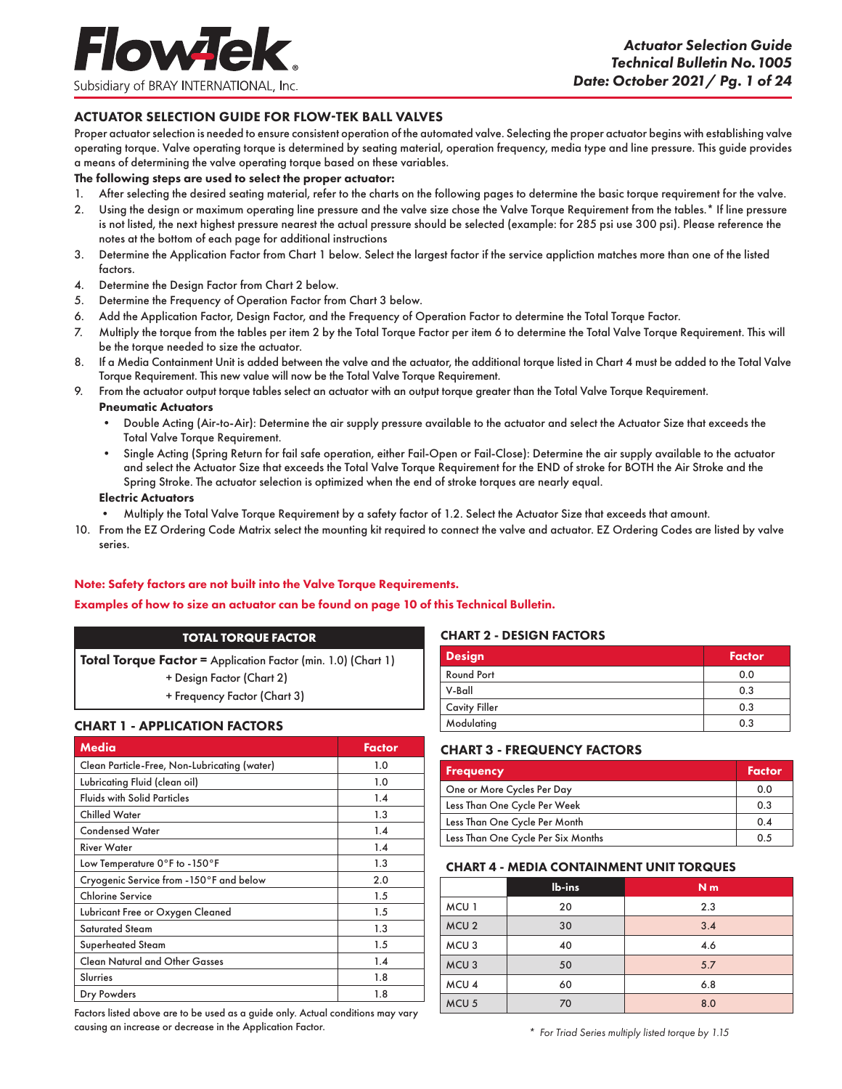#### ACTUATOR SELECTION GUIDE FOR FLOW-TEK BALL VALVES

Proper actuator selection is needed to ensure consistent operation of the automated valve. Selecting the proper actuator begins with establishing valve operating torque. Valve operating torque is determined by seating material, operation frequency, media type and line pressure. This guide provides a means of determining the valve operating torque based on these variables.

#### The following steps are used to select the proper actuator:

- 1. After selecting the desired seating material, refer to the charts on the following pages to determine the basic torque requirement for the valve.
- 2. Using the design or maximum operating line pressure and the valve size chose the Valve Torque Requirement from the tables.\* If line pressure is not listed, the next highest pressure nearest the actual pressure should be selected (example: for 285 psi use 300 psi). Please reference the notes at the bottom of each page for additional instructions
- 3. Determine the Application Factor from Chart 1 below. Select the largest factor if the service appliction matches more than one of the listed factors.
- 4. Determine the Design Factor from Chart 2 below.
- 5. Determine the Frequency of Operation Factor from Chart 3 below.
- 6. Add the Application Factor, Design Factor, and the Frequency of Operation Factor to determine the Total Torque Factor.
- 7. Multiply the torque from the tables per item 2 by the Total Torque Factor per item 6 to determine the Total Valve Torque Requirement. This will be the torque needed to size the actuator.
- 8. If a Media Containment Unit is added between the valve and the actuator, the additional torque listed in Chart 4 must be added to the Total Valve Torque Requirement. This new value will now be the Total Valve Torque Requirement.
- 9. From the actuator output torque tables select an actuator with an output torque greater than the Total Valve Torque Requirement.

#### Pneumatic Actuators

- Double Acting (Air-to-Air): Determine the air supply pressure available to the actuator and select the Actuator Size that exceeds the Total Valve Torque Requirement.
- Single Acting (Spring Return for fail safe operation, either Fail-Open or Fail-Close): Determine the air supply available to the actuator and select the Actuator Size that exceeds the Total Valve Torque Requirement for the END of stroke for BOTH the Air Stroke and the Spring Stroke. The actuator selection is optimized when the end of stroke torques are nearly equal.

#### Electric Actuators

- Multiply the Total Valve Torque Requirement by a safety factor of 1.2. Select the Actuator Size that exceeds that amount.
- 10. From the EZ Ordering Code Matrix select the mounting kit required to connect the valve and actuator. EZ Ordering Codes are listed by valve series.

#### Note: Safety factors are not built into the Valve Torque Requirements.

#### Examples of how to size an actuator can be found on page 10 of this Technical Bulletin.

#### **TOTAL TORQUE FACTOR**

Total Torque Factor = Application Factor (min. 1.0) (Chart 1)

- + Design Factor (Chart 2)
- + Frequency Factor (Chart 3)

#### CHART 1 - APPLICATION FACTORS

| Media                                        | <b>Factor</b> |
|----------------------------------------------|---------------|
| Clean Particle-Free, Non-Lubricating (water) | 1.0           |
| Lubricating Fluid (clean oil)                | 1.0           |
| <b>Fluids with Solid Particles</b>           | 1.4           |
| <b>Chilled Water</b>                         | 1.3           |
| <b>Condensed Water</b>                       | 1.4           |
| <b>River Water</b>                           | 1.4           |
| Low Temperature 0°F to -150°F                | 1.3           |
| Cryogenic Service from -150°F and below      | 2.0           |
| <b>Chlorine Service</b>                      | 1.5           |
| Lubricant Free or Oxygen Cleaned             | 1.5           |
| <b>Saturated Steam</b>                       | 1.3           |
| Superheated Steam                            | 1.5           |
| <b>Clean Natural and Other Gasses</b>        | 1.4           |
| Slurries                                     | 1.8           |
| Dry Powders                                  | 1.8           |

Factors listed above are to be used as a guide only. Actual conditions may vary causing an increase or decrease in the Application Factor.

#### CHART 2 - DESIGN FACTORS

| <b>Design</b>        | <b>Factor</b> |
|----------------------|---------------|
| Round Port           | 0.0           |
| V-Ball               | 0.3           |
| <b>Cavity Filler</b> | 0.3           |
| Modulating           | 0.3           |

#### CHART 3 - FREQUENCY FACTORS

| <b>Frequency</b>                   | Factor |
|------------------------------------|--------|
| One or More Cycles Per Day         | 0.0    |
| Less Than One Cycle Per Week       | 0.3    |
| Less Than One Cycle Per Month      | 0.4    |
| Less Than One Cycle Per Six Months | 0.5    |

#### CHART 4 - MEDIA CONTAINMENT UNIT TORQUES

|                  | lb-ins | N <sub>m</sub> |
|------------------|--------|----------------|
| MCU <sub>1</sub> | 20     | 2.3            |
| MCU <sub>2</sub> | 30     | 3.4            |
| MCU <sub>3</sub> | 40     | 4.6            |
| MCU <sub>3</sub> | 50     | 5.7            |
| MCU <sub>4</sub> | 60     | 6.8            |
| MCU <sub>5</sub> | 70     | 8.0            |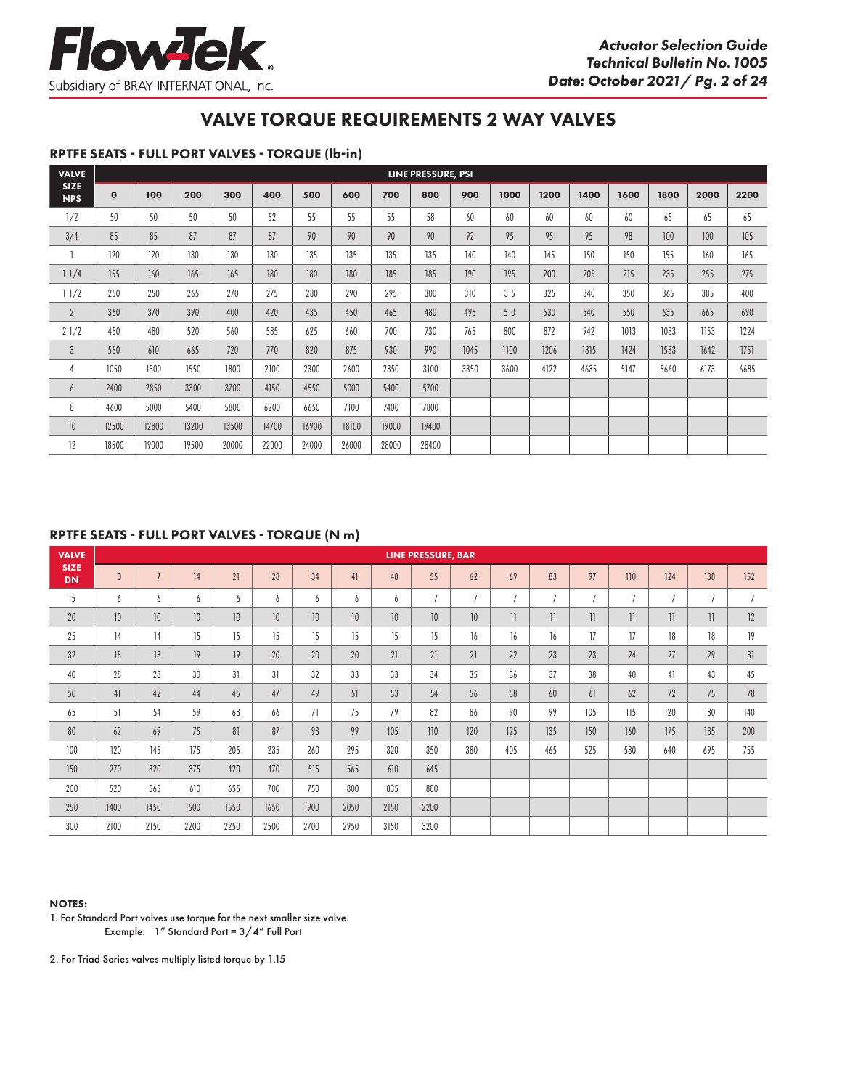

#### RPTFE SEATS - FULL PORT VALVES - TORQUE (lb-in)

| <b>VALVE</b>              |              |       |       |       |       |       |       |       | LINE PRESSURE, PSI |      |      |      |      |      |      |      |      |
|---------------------------|--------------|-------|-------|-------|-------|-------|-------|-------|--------------------|------|------|------|------|------|------|------|------|
| <b>SIZE</b><br><b>NPS</b> | $\mathbf{o}$ | 100   | 200   | 300   | 400   | 500   | 600   | 700   | 800                | 900  | 1000 | 1200 | 1400 | 1600 | 1800 | 2000 | 2200 |
| 1/2                       | 50           | 50    | 50    | 50    | 52    | 55    | 55    | 55    | 58                 | 60   | 60   | 60   | 60   | 60   | 65   | 65   | 65   |
| 3/4                       | 85           | 85    | 87    | 87    | 87    | 90    | 90    | 90    | 90                 | 92   | 95   | 95   | 95   | 98   | 100  | 100  | 105  |
|                           | 120          | 120   | 130   | 130   | 130   | 135   | 135   | 135   | 135                | 140  | 140  | 145  | 150  | 150  | 155  | 160  | 165  |
| 11/4                      | 155          | 160   | 165   | 165   | 180   | 180   | 180   | 185   | 185                | 190  | 195  | 200  | 205  | 215  | 235  | 255  | 275  |
| 11/2                      | 250          | 250   | 265   | 270   | 275   | 280   | 290   | 295   | 300                | 310  | 315  | 325  | 340  | 350  | 365  | 385  | 400  |
| $\mathbf{2}$              | 360          | 370   | 390   | 400   | 420   | 435   | 450   | 465   | 480                | 495  | 510  | 530  | 540  | 550  | 635  | 665  | 690  |
| 21/2                      | 450          | 480   | 520   | 560   | 585   | 625   | 660   | 700   | 730                | 765  | 800  | 872  | 942  | 1013 | 1083 | 1153 | 1224 |
| $\mathfrak{Z}$            | 550          | 610   | 665   | 720   | 770   | 820   | 875   | 930   | 990                | 1045 | 1100 | 1206 | 1315 | 1424 | 1533 | 1642 | 1751 |
| 4                         | 1050         | 1300  | 1550  | 1800  | 2100  | 2300  | 2600  | 2850  | 3100               | 3350 | 3600 | 4122 | 4635 | 5147 | 5660 | 6173 | 6685 |
| 6                         | 2400         | 2850  | 3300  | 3700  | 4150  | 4550  | 5000  | 5400  | 5700               |      |      |      |      |      |      |      |      |
| 8                         | 4600         | 5000  | 5400  | 5800  | 6200  | 6650  | 7100  | 7400  | 7800               |      |      |      |      |      |      |      |      |
| 10                        | 12500        | 12800 | 13200 | 13500 | 14700 | 16900 | 18100 | 19000 | 19400              |      |      |      |      |      |      |      |      |
| 12                        | 18500        | 19000 | 19500 | 20000 | 22000 | 24000 | 26000 | 28000 | 28400              |      |      |      |      |      |      |      |      |

# RPTFE SEATS - FULL PORT VALVES - TORQUE (N m)

| <b>VALVE</b>             |                 |                 |      |      |      |      |      |      | <b>LINE PRESSURE, BAR</b> |                 |                |                 |                          |                |                |                |                |
|--------------------------|-----------------|-----------------|------|------|------|------|------|------|---------------------------|-----------------|----------------|-----------------|--------------------------|----------------|----------------|----------------|----------------|
| <b>SIZE</b><br><b>DN</b> | $\theta$        | $\overline{ }$  | 14   | 21   | 28   | 34   | 41   | 48   | 55                        | 62              | 69             | 83              | 97                       | 110            | 124            | 138            | 152            |
| 15                       | 6               | 6               | 6    | 6    | 6    | 6    | 6    | 6    | $7\overline{ }$           | $\overline{7}$  | $\overline{7}$ | $7\overline{ }$ | $7\overline{ }$          | $\overline{7}$ | $\overline{7}$ | $\overline{7}$ | $\overline{7}$ |
| 20                       | 10 <sup>°</sup> | 10 <sup>°</sup> | 10   | 10   | 10   | 10   | 10   | 10   | 10                        | 10 <sup>°</sup> | $\mathbb{I}$   | $\mathbf{1}$    | $\overline{\phantom{a}}$ | 1              | 11             | $\mathbf{1}$   | 12             |
| 25                       | 14              | 14              | 15   | 15   | 15   | 15   | 15   | 15   | 15                        | 16              | 16             | 16              | 17                       | 17             | 18             | 18             | 19             |
| 32                       | 18              | 18              | 19   | 19   | 20   | 20   | 20   | 21   | 21                        | 21              | 22             | 23              | 23                       | 24             | 27             | 29             | 31             |
| 40                       | 28              | 28              | 30   | 31   | 31   | 32   | 33   | 33   | 34                        | 35              | 36             | 37              | 38                       | 40             | 41             | 43             | 45             |
| 50                       | 41              | 42              | 44   | 45   | 47   | 49   | 51   | 53   | 54                        | 56              | 58             | 60              | 61                       | 62             | 72             | 75             | 78             |
| 65                       | 51              | 54              | 59   | 63   | 66   | 71   | 75   | 79   | 82                        | 86              | 90             | 99              | 105                      | 115            | 120            | 130            | 140            |
| 80                       | 62              | 69              | 75   | 81   | 87   | 93   | 99   | 105  | 110                       | 120             | 125            | 135             | 150                      | 160            | 175            | 185            | 200            |
| 100                      | 120             | 145             | 175  | 205  | 235  | 260  | 295  | 320  | 350                       | 380             | 405            | 465             | 525                      | 580            | 640            | 695            | 755            |
| 150                      | 270             | 320             | 375  | 420  | 470  | 515  | 565  | 610  | 645                       |                 |                |                 |                          |                |                |                |                |
| 200                      | 520             | 565             | 610  | 655  | 700  | 750  | 800  | 835  | 880                       |                 |                |                 |                          |                |                |                |                |
| 250                      | 1400            | 1450            | 1500 | 1550 | 1650 | 1900 | 2050 | 2150 | 2200                      |                 |                |                 |                          |                |                |                |                |
| 300                      | 2100            | 2150            | 2200 | 2250 | 2500 | 2700 | 2950 | 3150 | 3200                      |                 |                |                 |                          |                |                |                |                |

#### NOTES:

1. For Standard Port valves use torque for the next smaller size valve. Example: 1" Standard Port = 3/4" Full Port

2. For Triad Series valves multiply listed torque by 1.15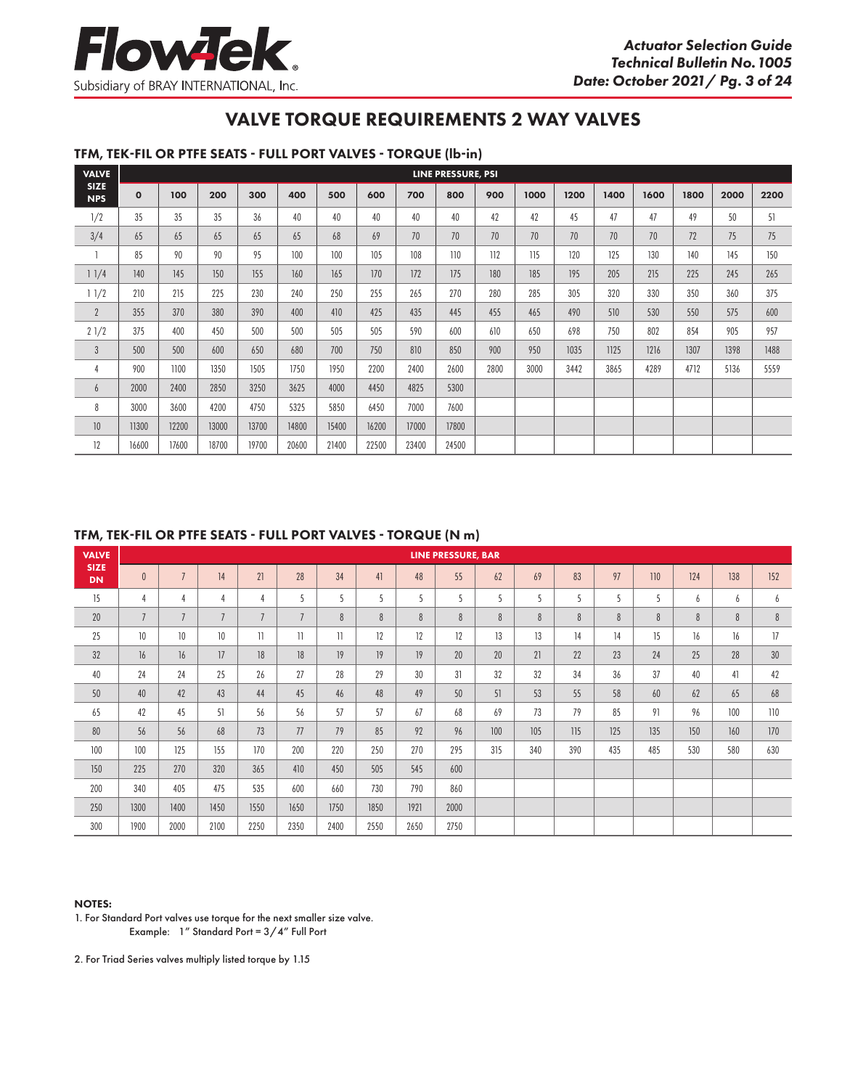### TFM, TEK-FIL OR PTFE SEATS - FULL PORT VALVES - TORQUE (lb-in)

| <b>VALVE</b>              |              |       |       |       |       |       |       |       | LINE PRESSURE, PSI |      |      |      |      |      |      |      |      |
|---------------------------|--------------|-------|-------|-------|-------|-------|-------|-------|--------------------|------|------|------|------|------|------|------|------|
| <b>SIZE</b><br><b>NPS</b> | $\mathbf{o}$ | 100   | 200   | 300   | 400   | 500   | 600   | 700   | 800                | 900  | 1000 | 1200 | 1400 | 1600 | 1800 | 2000 | 2200 |
| 1/2                       | 35           | 35    | 35    | 36    | 40    | 40    | 40    | 40    | 40                 | 42   | 42   | 45   | 47   | 47   | 49   | 50   | 51   |
| 3/4                       | 65           | 65    | 65    | 65    | 65    | 68    | 69    | 70    | 70                 | 70   | 70   | 70   | 70   | 70   | 72   | 75   | 75   |
|                           | 85           | 90    | 90    | 95    | 100   | 100   | 105   | 108   | 110                | 112  | 115  | 120  | 125  | 130  | 140  | 145  | 150  |
| 11/4                      | 140          | 145   | 150   | 155   | 160   | 165   | 170   | 172   | 175                | 180  | 185  | 195  | 205  | 215  | 225  | 245  | 265  |
| 11/2                      | 210          | 215   | 225   | 230   | 240   | 250   | 255   | 265   | 270                | 280  | 285  | 305  | 320  | 330  | 350  | 360  | 375  |
| $\overline{2}$            | 355          | 370   | 380   | 390   | 400   | 410   | 425   | 435   | 445                | 455  | 465  | 490  | 510  | 530  | 550  | 575  | 600  |
| 21/2                      | 375          | 400   | 450   | 500   | 500   | 505   | 505   | 590   | 600                | 610  | 650  | 698  | 750  | 802  | 854  | 905  | 957  |
| $\mathbf{3}$              | 500          | 500   | 600   | 650   | 680   | 700   | 750   | 810   | 850                | 900  | 950  | 1035 | 1125 | 1216 | 1307 | 1398 | 1488 |
| 4                         | 900          | 1100  | 1350  | 1505  | 1750  | 1950  | 2200  | 2400  | 2600               | 2800 | 3000 | 3442 | 3865 | 4289 | 4712 | 5136 | 5559 |
| 6                         | 2000         | 2400  | 2850  | 3250  | 3625  | 4000  | 4450  | 4825  | 5300               |      |      |      |      |      |      |      |      |
| 8                         | 3000         | 3600  | 4200  | 4750  | 5325  | 5850  | 6450  | 7000  | 7600               |      |      |      |      |      |      |      |      |
| 10                        | 11300        | 12200 | 13000 | 13700 | 14800 | 15400 | 16200 | 17000 | 17800              |      |      |      |      |      |      |      |      |
| 12                        | 16600        | 17600 | 18700 | 19700 | 20600 | 21400 | 22500 | 23400 | 24500              |      |      |      |      |      |      |      |      |

#### TFM, TEK-FIL OR PTFE SEATS - FULL PORT VALVES - TORQUE (N m)

| <b>VALVE</b>             |                |                |                |                |                          |              |      |      | <b>LINE PRESSURE, BAR</b> |     |     |     |     |     |     |     |                 |
|--------------------------|----------------|----------------|----------------|----------------|--------------------------|--------------|------|------|---------------------------|-----|-----|-----|-----|-----|-----|-----|-----------------|
| <b>SIZE</b><br><b>DN</b> | $\theta$       | $\overline{ }$ | 14             | 21             | 28                       | 34           | 41   | 48   | 55                        | 62  | 69  | 83  | 97  | 110 | 124 | 138 | 152             |
| 15                       | 4              | $\overline{4}$ | $\overline{4}$ | $\overline{4}$ | 5                        | 5            | 5    | 5    | 5                         | 5   | 5   | 5   | 5   | 5   | 6   | 6   | 6               |
| 20                       | $\overline{7}$ | $\overline{7}$ | $\overline{7}$ | $\overline{7}$ | $\overline{7}$           | 8            | 8    | 8    | 8                         | 8   | 8   | 8   | 8   | 8   | 8   | 8   | $\, 8$          |
| 25                       | 10             | 10             | 10             | $\mathbf{1}$   | $\overline{\phantom{a}}$ | $\mathbf{1}$ | 12   | 12   | 12                        | 13  | 13  | 14  | 14  | 15  | 16  | 16  | 17              |
| 32                       | 16             | 16             | 17             | 18             | 18                       | 19           | 19   | 19   | 20                        | 20  | 21  | 22  | 23  | 24  | 25  | 28  | 30 <sup>°</sup> |
| 40                       | 24             | 24             | 25             | 26             | 27                       | 28           | 29   | 30   | 31                        | 32  | 32  | 34  | 36  | 37  | 40  | 41  | 42              |
| 50                       | 40             | 42             | 43             | 44             | 45                       | 46           | 48   | 49   | 50                        | 51  | 53  | 55  | 58  | 60  | 62  | 65  | 68              |
| 65                       | 42             | 45             | 51             | 56             | 56                       | 57           | 57   | 67   | 68                        | 69  | 73  | 79  | 85  | 91  | 96  | 100 | 110             |
| 80                       | 56             | 56             | 68             | 73             | 77                       | 79           | 85   | 92   | 96                        | 100 | 105 | 115 | 125 | 135 | 150 | 160 | 170             |
| 100                      | 100            | 125            | 155            | 170            | 200                      | 220          | 250  | 270  | 295                       | 315 | 340 | 390 | 435 | 485 | 530 | 580 | 630             |
| 150                      | 225            | 270            | 320            | 365            | 410                      | 450          | 505  | 545  | 600                       |     |     |     |     |     |     |     |                 |
| 200                      | 340            | 405            | 475            | 535            | 600                      | 660          | 730  | 790  | 860                       |     |     |     |     |     |     |     |                 |
| 250                      | 1300           | 1400           | 1450           | 1550           | 1650                     | 1750         | 1850 | 1921 | 2000                      |     |     |     |     |     |     |     |                 |
| 300                      | 1900           | 2000           | 2100           | 2250           | 2350                     | 2400         | 2550 | 2650 | 2750                      |     |     |     |     |     |     |     |                 |

#### NOTES:

1. For Standard Port valves use torque for the next smaller size valve. Example: 1" Standard Port = 3/4" Full Port

2. For Triad Series valves multiply listed torque by 1.15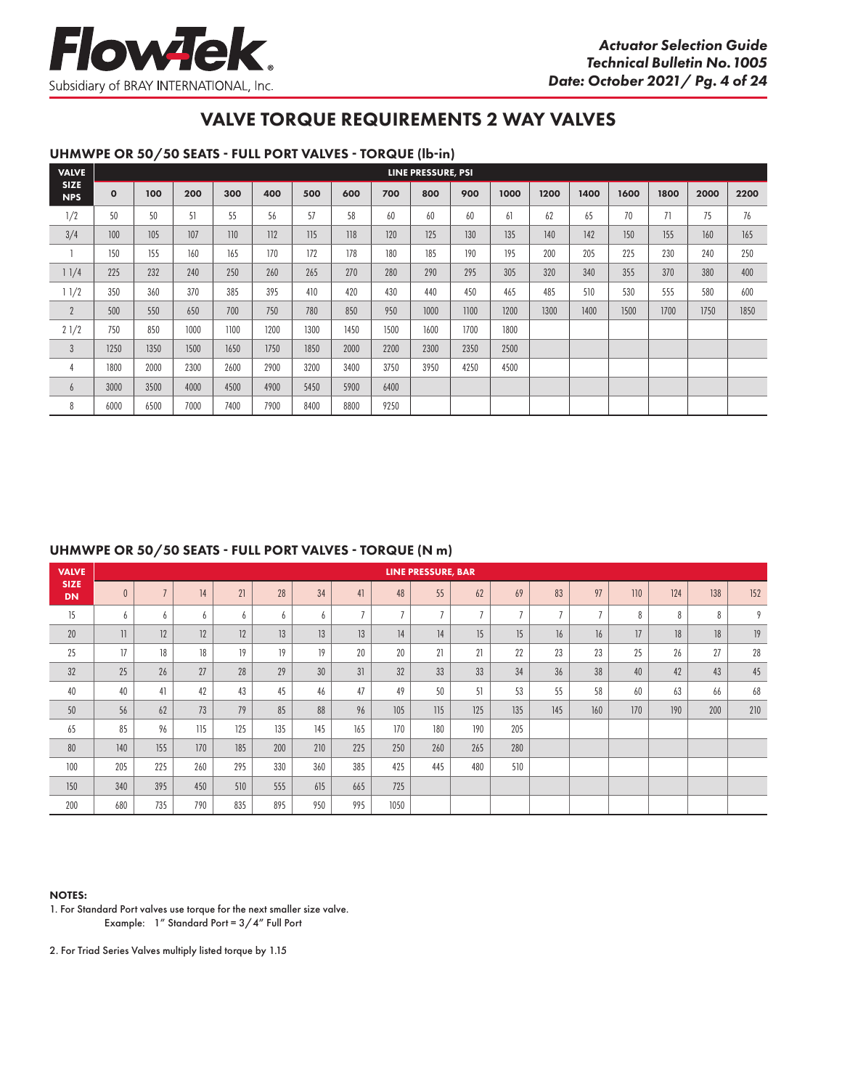

### UHMWPE OR 50/50 SEATS - FULL PORT VALVES - TORQUE (lb-in)

| <b>VALVE</b>              |             |      |      |      |      |      |      |      | LINE PRESSURE, PSI |      |      |      |      |      |      |      |      |
|---------------------------|-------------|------|------|------|------|------|------|------|--------------------|------|------|------|------|------|------|------|------|
| <b>SIZE</b><br><b>NPS</b> | $\mathbf 0$ | 100  | 200  | 300  | 400  | 500  | 600  | 700  | 800                | 900  | 1000 | 1200 | 1400 | 1600 | 1800 | 2000 | 2200 |
| 1/2                       | 50          | 50   | 51   | 55   | 56   | 57   | 58   | 60   | 60                 | 60   | 61   | 62   | 65   | 70   | 71   | 75   | 76   |
| 3/4                       | 100         | 105  | 107  | 110  | 112  | 115  | 118  | 120  | 125                | 130  | 135  | 140  | 142  | 150  | 155  | 160  | 165  |
|                           | 150         | 155  | 160  | 165  | 170  | 172  | 178  | 180  | 185                | 190  | 195  | 200  | 205  | 225  | 230  | 240  | 250  |
| 11/4                      | 225         | 232  | 240  | 250  | 260  | 265  | 270  | 280  | 290                | 295  | 305  | 320  | 340  | 355  | 370  | 380  | 400  |
| 11/2                      | 350         | 360  | 370  | 385  | 395  | 410  | 420  | 430  | 440                | 450  | 465  | 485  | 510  | 530  | 555  | 580  | 600  |
| $\overline{2}$            | 500         | 550  | 650  | 700  | 750  | 780  | 850  | 950  | 1000               | 1100 | 1200 | 1300 | 1400 | 1500 | 1700 | 1750 | 1850 |
| 21/2                      | 750         | 850  | 1000 | 1100 | 1200 | 1300 | 1450 | 1500 | 1600               | 1700 | 1800 |      |      |      |      |      |      |
| $\mathbf{3}$              | 1250        | 1350 | 1500 | 1650 | 1750 | 1850 | 2000 | 2200 | 2300               | 2350 | 2500 |      |      |      |      |      |      |
| 4                         | 1800        | 2000 | 2300 | 2600 | 2900 | 3200 | 3400 | 3750 | 3950               | 4250 | 4500 |      |      |      |      |      |      |
| b                         | 3000        | 3500 | 4000 | 4500 | 4900 | 5450 | 5900 | 6400 |                    |      |      |      |      |      |      |      |      |
| 8                         | 6000        | 6500 | 7000 | 7400 | 7900 | 8400 | 8800 | 9250 |                    |      |      |      |      |      |      |      |      |

#### UHMWPE OR 50/50 SEATS - FULL PORT VALVES - TORQUE (N m)

| <b>VALVE</b>             |         |                |     |     |     |     |                |                | <b>LINE PRESSURE, BAR</b> |                |                |                |                |     |     |     |     |
|--------------------------|---------|----------------|-----|-----|-----|-----|----------------|----------------|---------------------------|----------------|----------------|----------------|----------------|-----|-----|-----|-----|
| <b>SIZE</b><br><b>DN</b> |         | $\overline{ }$ | 14  | 21  | 28  | 34  | 41             | 48             | 55                        | 62             | 69             | 83             | 97             | 110 | 124 | 138 | 152 |
| 15                       | h       | 6              | 6   | 6   | 6   | 6   | $\overline{ }$ | $\overline{7}$ | $\overline{7}$            | $\overline{7}$ | $\overline{7}$ | $\overline{ }$ | $\overline{ }$ | 8   | 8   | 8   | 9   |
| 20                       | $\vert$ | 12             | 12  | 12  | 13  | 13  | 13             | 14             | 14                        | 15             | 15             | 16             | 16             | 17  | 18  | 18  | 19  |
| 25                       | 17      | 18             | 18  | 19  | 19  | 19  | 20             | 20             | 21                        | 21             | 22             | 23             | 23             | 25  | 26  | 27  | 28  |
| 32                       | 25      | 26             | 27  | 28  | 29  | 30  | 31             | 32             | 33                        | 33             | 34             | 36             | 38             | 40  | 42  | 43  | 45  |
| 40                       | 40      | 41             | 42  | 43  | 45  | 46  | 47             | 49             | 50                        | 51             | 53             | 55             | 58             | 60  | 63  | 66  | 68  |
| 50                       | 56      | 62             | 73  | 79  | 85  | 88  | 96             | 105            | 115                       | 125            | 135            | 145            | 160            | 170 | 190 | 200 | 210 |
| 65                       | 85      | 96             | 115 | 125 | 135 | 145 | 165            | 170            | 180                       | 190            | 205            |                |                |     |     |     |     |
| 80                       | 140     | 155            | 170 | 185 | 200 | 210 | 225            | 250            | 260                       | 265            | 280            |                |                |     |     |     |     |
| 100                      | 205     | 225            | 260 | 295 | 330 | 360 | 385            | 425            | 445                       | 480            | 510            |                |                |     |     |     |     |
| 150                      | 340     | 395            | 450 | 510 | 555 | 615 | 665            | 725            |                           |                |                |                |                |     |     |     |     |
| 200                      | 680     | 735            | 790 | 835 | 895 | 950 | 995            | 1050           |                           |                |                |                |                |     |     |     |     |

#### NOTES:

1. For Standard Port valves use torque for the next smaller size valve. Example: 1" Standard Port = 3/4" Full Port

2. For Triad Series Valves multiply listed torque by 1.15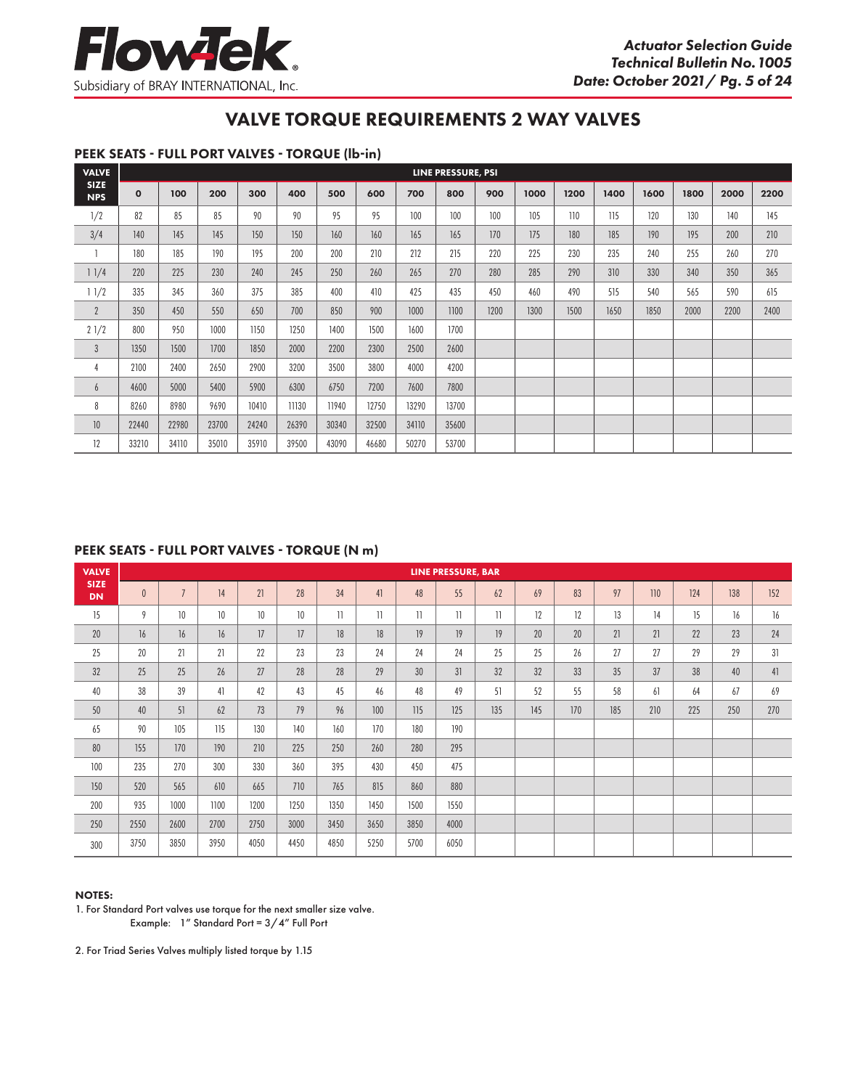### PEEK SEATS - FULL PORT VALVES - TORQUE (lb-in)

| <b>VALVE</b>              |             |       |       |       |       |       |       |       | LINE PRESSURE, PSI |      |      |      |      |      |      |      |      |
|---------------------------|-------------|-------|-------|-------|-------|-------|-------|-------|--------------------|------|------|------|------|------|------|------|------|
| <b>SIZE</b><br><b>NPS</b> | $\mathbf 0$ | 100   | 200   | 300   | 400   | 500   | 600   | 700   | 800                | 900  | 1000 | 1200 | 1400 | 1600 | 1800 | 2000 | 2200 |
| 1/2                       | 82          | 85    | 85    | 90    | 90    | 95    | 95    | 100   | 100                | 100  | 105  | 110  | 115  | 120  | 130  | 140  | 145  |
| 3/4                       | 140         | 145   | 145   | 150   | 150   | 160   | 160   | 165   | 165                | 170  | 175  | 180  | 185  | 190  | 195  | 200  | 210  |
|                           | 180         | 185   | 190   | 195   | 200   | 200   | 210   | 212   | 215                | 220  | 225  | 230  | 235  | 240  | 255  | 260  | 270  |
| 11/4                      | 220         | 225   | 230   | 240   | 245   | 250   | 260   | 265   | 270                | 280  | 285  | 290  | 310  | 330  | 340  | 350  | 365  |
| 11/2                      | 335         | 345   | 360   | 375   | 385   | 400   | 410   | 425   | 435                | 450  | 460  | 490  | 515  | 540  | 565  | 590  | 615  |
| $\overline{2}$            | 350         | 450   | 550   | 650   | 700   | 850   | 900   | 1000  | 1100               | 1200 | 1300 | 1500 | 1650 | 1850 | 2000 | 2200 | 2400 |
| 21/2                      | 800         | 950   | 1000  | 1150  | 1250  | 1400  | 1500  | 1600  | 1700               |      |      |      |      |      |      |      |      |
| $\mathfrak{Z}$            | 1350        | 1500  | 1700  | 1850  | 2000  | 2200  | 2300  | 2500  | 2600               |      |      |      |      |      |      |      |      |
| 4                         | 2100        | 2400  | 2650  | 2900  | 3200  | 3500  | 3800  | 4000  | 4200               |      |      |      |      |      |      |      |      |
| 6                         | 4600        | 5000  | 5400  | 5900  | 6300  | 6750  | 7200  | 7600  | 7800               |      |      |      |      |      |      |      |      |
| 8                         | 8260        | 8980  | 9690  | 10410 | 11130 | 11940 | 12750 | 13290 | 13700              |      |      |      |      |      |      |      |      |
| 10                        | 22440       | 22980 | 23700 | 24240 | 26390 | 30340 | 32500 | 34110 | 35600              |      |      |      |      |      |      |      |      |
| 12                        | 33210       | 34110 | 35010 | 35910 | 39500 | 43090 | 46680 | 50270 | 53700              |      |      |      |      |      |      |      |      |

#### PEEK SEATS - FULL PORT VALVES - TORQUE (N m)

| <b>VALVE</b>             |          |                 |      |      |      |                 |              |              | <b>LINE PRESSURE, BAR</b> |              |     |     |     |     |     |     |     |
|--------------------------|----------|-----------------|------|------|------|-----------------|--------------|--------------|---------------------------|--------------|-----|-----|-----|-----|-----|-----|-----|
| <b>SIZE</b><br><b>DN</b> | $\theta$ | $\overline{7}$  | 14   | 21   | 28   | 34              | 41           | 48           | 55                        | 62           | 69  | 83  | 97  | 110 | 124 | 138 | 152 |
| 15                       | 9        | 10 <sup>°</sup> | 10   | 10   | 10   | $\overline{11}$ | $\mathbf{1}$ | $\mathbf{1}$ | $\mathbf{1}$              | $\mathbf{1}$ | 12  | 12  | 13  | 14  | 15  | 16  | 16  |
| 20                       | 16       | 16              | 16   | 17   | 17   | 18              | 18           | 19           | 19                        | 19           | 20  | 20  | 21  | 21  | 22  | 23  | 24  |
| 25                       | 20       | 21              | 21   | 22   | 23   | 23              | 24           | 24           | 24                        | 25           | 25  | 26  | 27  | 27  | 29  | 29  | 31  |
| 32                       | 25       | 25              | 26   | 27   | 28   | 28              | 29           | 30           | 31                        | 32           | 32  | 33  | 35  | 37  | 38  | 40  | 41  |
| 40                       | 38       | 39              | 41   | 42   | 43   | 45              | 46           | 48           | 49                        | 51           | 52  | 55  | 58  | 61  | 64  | 67  | 69  |
| 50                       | 40       | 51              | 62   | 73   | 79   | 96              | 100          | 115          | 125                       | 135          | 145 | 170 | 185 | 210 | 225 | 250 | 270 |
| 65                       | 90       | 105             | 115  | 130  | 140  | 160             | 170          | 180          | 190                       |              |     |     |     |     |     |     |     |
| 80                       | 155      | 170             | 190  | 210  | 225  | 250             | 260          | 280          | 295                       |              |     |     |     |     |     |     |     |
| 100                      | 235      | 270             | 300  | 330  | 360  | 395             | 430          | 450          | 475                       |              |     |     |     |     |     |     |     |
| 150                      | 520      | 565             | 610  | 665  | 710  | 765             | 815          | 860          | 880                       |              |     |     |     |     |     |     |     |
| 200                      | 935      | 1000            | 1100 | 1200 | 1250 | 1350            | 1450         | 1500         | 1550                      |              |     |     |     |     |     |     |     |
| 250                      | 2550     | 2600            | 2700 | 2750 | 3000 | 3450            | 3650         | 3850         | 4000                      |              |     |     |     |     |     |     |     |
| 300                      | 3750     | 3850            | 3950 | 4050 | 4450 | 4850            | 5250         | 5700         | 6050                      |              |     |     |     |     |     |     |     |

#### NOTES:

1. For Standard Port valves use torque for the next smaller size valve. Example: 1" Standard Port = 3/4" Full Port

2. For Triad Series Valves multiply listed torque by 1.15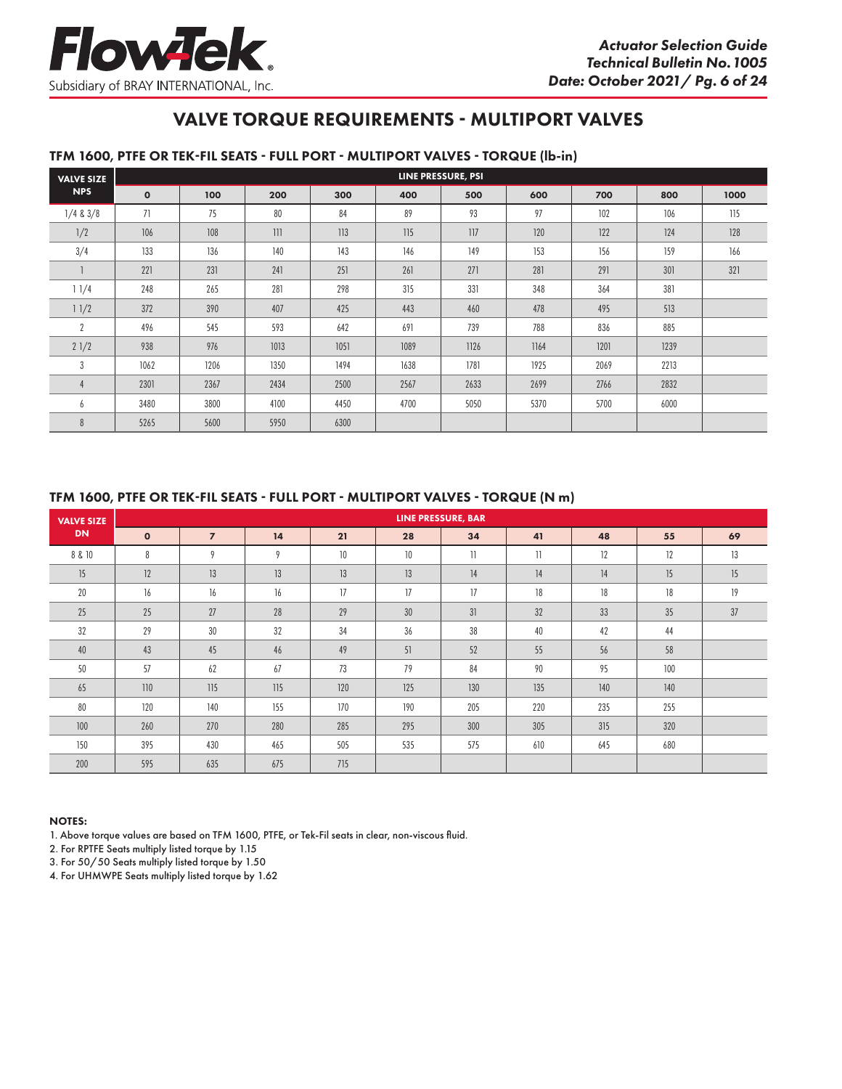# VALVE TORQUE REQUIREMENTS - MULTIPORT VALVES

#### TFM 1600, PTFE OR TEK-FIL SEATS - FULL PORT - MULTIPORT VALVES - TORQUE (lb-in)

| <b>VALVE SIZE</b> |              |      |      |      |      | LINE PRESSURE, PSI |      |      |      |      |
|-------------------|--------------|------|------|------|------|--------------------|------|------|------|------|
| <b>NPS</b>        | $\mathbf{o}$ | 100  | 200  | 300  | 400  | 500                | 600  | 700  | 800  | 1000 |
| $1/4$ & $3/8$     | 71           | 75   | 80   | 84   | 89   | 93                 | 97   | 102  | 106  | 115  |
| 1/2               | 106          | 108  | 111  | 113  | 115  | 117                | 120  | 122  | 124  | 128  |
| 3/4               | 133          | 136  | 140  | 143  | 146  | 149                | 153  | 156  | 159  | 166  |
|                   | 221          | 231  | 241  | 251  | 261  | 271                | 281  | 291  | 301  | 321  |
| 11/4              | 248          | 265  | 281  | 298  | 315  | 331                | 348  | 364  | 381  |      |
| 11/2              | 372          | 390  | 407  | 425  | 443  | 460                | 478  | 495  | 513  |      |
| $\overline{2}$    | 496          | 545  | 593  | 642  | 691  | 739                | 788  | 836  | 885  |      |
| 21/2              | 938          | 976  | 1013 | 1051 | 1089 | 1126               | 1164 | 1201 | 1239 |      |
| 3                 | 1062         | 1206 | 1350 | 1494 | 1638 | 1781               | 1925 | 2069 | 2213 |      |
| 4                 | 2301         | 2367 | 2434 | 2500 | 2567 | 2633               | 2699 | 2766 | 2832 |      |
| 6                 | 3480         | 3800 | 4100 | 4450 | 4700 | 5050               | 5370 | 5700 | 6000 |      |
| 8                 | 5265         | 5600 | 5950 | 6300 |      |                    |      |      |      |      |

#### TFM 1600, PTFE OR TEK-FIL SEATS - FULL PORT - MULTIPORT VALVES - TORQUE (N m)

| <b>VALVE SIZE</b> |              |                |     |     |     | <b>LINE PRESSURE, BAR</b> |              |     |     |    |
|-------------------|--------------|----------------|-----|-----|-----|---------------------------|--------------|-----|-----|----|
| <b>DN</b>         | $\mathbf{o}$ | $\overline{z}$ | 14  | 21  | 28  | 34                        | 41           | 48  | 55  | 69 |
| 8 & 10            | 8            | $\mathsf Q$    | 9   | 10  | 10  | 11                        | $\mathbf{1}$ | 12  | 12  | 13 |
| 15                | 12           | 13             | 13  | 13  | 13  | 14                        | 14           | 14  | 15  | 15 |
| 20                | 16           | 16             | 16  | 17  | 17  | 17                        | 18           | 18  | 18  | 19 |
| 25                | 25           | 27             | 28  | 29  | 30  | 31                        | 32           | 33  | 35  | 37 |
| 32                | 29           | 30             | 32  | 34  | 36  | 38                        | 40           | 42  | 44  |    |
| 40                | 43           | 45             | 46  | 49  | 51  | 52                        | 55           | 56  | 58  |    |
| 50                | 57           | 62             | 67  | 73  | 79  | 84                        | 90           | 95  | 100 |    |
| 65                | 110          | 115            | 115 | 120 | 125 | 130                       | 135          | 140 | 140 |    |
| 80                | 120          | 140            | 155 | 170 | 190 | 205                       | 220          | 235 | 255 |    |
| 100               | 260          | 270            | 280 | 285 | 295 | 300                       | 305          | 315 | 320 |    |
| 150               | 395          | 430            | 465 | 505 | 535 | 575                       | 610          | 645 | 680 |    |
| 200               | 595          | 635            | 675 | 715 |     |                           |              |     |     |    |

#### NOTES:

1. Above torque values are based on TFM 1600, PTFE, or Tek-Fil seats in clear, non-viscous fluid.

2. For RPTFE Seats multiply listed torque by 1.15

3. For 50/50 Seats multiply listed torque by 1.50

4. For UHMWPE Seats multiply listed torque by 1.62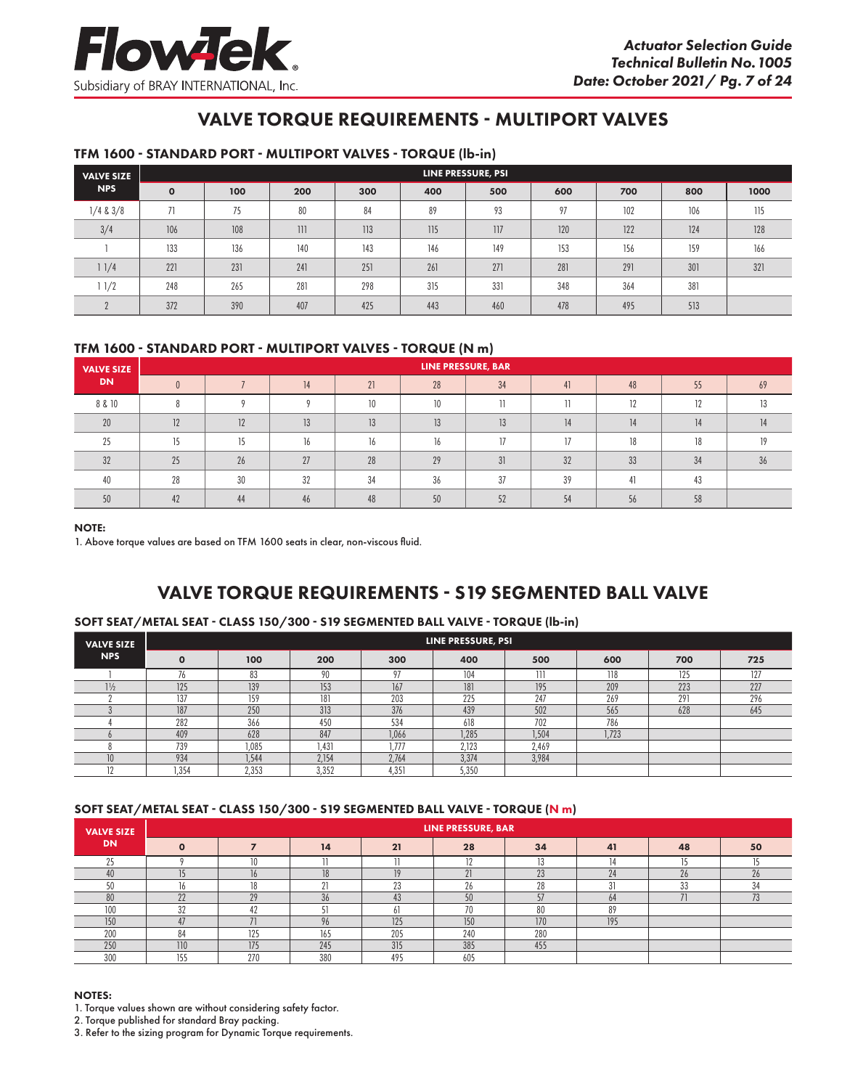# VALVE TORQUE REQUIREMENTS - MULTIPORT VALVES

#### TFM 1600 - STANDARD PORT - MULTIPORT VALVES - TORQUE (lb-in)

| <b>VALVE SIZE</b> |              |     |     |     |     | LINE PRESSURE, PSI |     |     |     |      |
|-------------------|--------------|-----|-----|-----|-----|--------------------|-----|-----|-----|------|
| <b>NPS</b>        | $\mathbf{o}$ | 100 | 200 | 300 | 400 | 500                | 600 | 700 | 800 | 1000 |
| $1/4$ & $3/8$     | 71           | 75  | 80  | 84  | 89  | 93                 | 97  | 102 | 106 | 115  |
| 3/4               | 106          | 108 | 111 | 113 | 115 | 117                | 120 | 122 | 124 | 128  |
|                   | 133          | 136 | 140 | 143 | 146 | 149                | 153 | 156 | 159 | 166  |
| 1/4               | 221          | 231 | 241 | 251 | 261 | 271                | 281 | 291 | 301 | 321  |
| 1/2               | 248          | 265 | 281 | 298 | 315 | 331                | 348 | 364 | 381 |      |
|                   | 372          | 390 | 407 | 425 | 443 | 460                | 478 | 495 | 513 |      |

## TFM 1600 - STANDARD PORT - MULTIPORT VALVES - TORQUE (N m)

| <b>VALVE SIZE</b> | LINE PRESSURE, BAR |    |    |    |    |    |    |    |    |    |  |  |  |
|-------------------|--------------------|----|----|----|----|----|----|----|----|----|--|--|--|
| <b>DN</b>         |                    |    | 14 | 21 | 28 | 34 | 41 | 48 | 55 | 69 |  |  |  |
| 8 & 10            |                    |    |    |    | 10 |    |    | 12 | 10 |    |  |  |  |
| 20                | 12                 | 12 | 13 |    | 13 | 13 | 14 |    |    | 14 |  |  |  |
| 25                | 15                 | 15 | 16 |    | 16 |    | 77 | 18 | 18 | 10 |  |  |  |
| 32                | 25                 | 26 | 27 | 28 | 29 | 31 | 32 | 33 | 34 | 36 |  |  |  |
| 40                | 28                 | 30 | 32 | 34 | 36 | 37 | 39 |    | 43 |    |  |  |  |
| 50                | 47                 | 44 |    |    | 50 | 52 | 54 | 56 | 58 |    |  |  |  |

#### NOTE:

1. Above torque values are based on TFM 1600 seats in clear, non-viscous fluid.

# VALVE TORQUE REQUIREMENTS - S19 SEGMENTED BALL VALVE

#### SOFT SEAT/METAL SEAT - CLASS 150/300 - S19 SEGMENTED BALL VALVE - TORQUE (lb-in)

| <b>VALVE SIZE</b> | LINE PRESSURE, PSI |       |       |                |       |       |       |     |     |  |  |  |  |
|-------------------|--------------------|-------|-------|----------------|-------|-------|-------|-----|-----|--|--|--|--|
| <b>NPS</b>        | $\Omega$           | 100   | 200   | 300            | 400   | 500   | 600   | 700 | 725 |  |  |  |  |
|                   | 70                 | 83    | 90    |                | 104   |       | 118   | 125 | 127 |  |  |  |  |
| $1\frac{1}{2}$    | 125                | 139   | 153   | 167            | 181   | 195   | 209   | 223 | 227 |  |  |  |  |
|                   | 137                | 159   | 181   | 203            | 225   | 247   | 269   | 291 | 296 |  |  |  |  |
|                   | 187                | 250   | 313   | 376            | 439   | 502   | 565   | 628 | 645 |  |  |  |  |
|                   | 282                | 366   | 450   | 534            | 618   | 702   | 786   |     |     |  |  |  |  |
|                   | 409                | 628   | 847   | 1,066          | 1,285 | 1,504 | 1,723 |     |     |  |  |  |  |
|                   | 739                | 1,085 | 1,431 | .777           | 2,123 | 2,469 |       |     |     |  |  |  |  |
| 10                | 934                | 1.544 | 2,154 | 2.764          | 3,374 | 3,984 |       |     |     |  |  |  |  |
|                   | .354               | 2,353 | 3,352 | $4.35^{\circ}$ | 5,350 |       |       |     |     |  |  |  |  |

#### SOFT SEAT/METAL SEAT - CLASS 150/300 - S19 SEGMENTED BALL VALVE - TORQUE (N m)

| <b>VALVE SIZE</b> |     |                 |     |          | LINE PRESSURE, BAR |     |     |    |          |
|-------------------|-----|-----------------|-----|----------|--------------------|-----|-----|----|----------|
| <b>DN</b>         |     |                 | 14  | 21       | 28                 | 34  | 41  | 48 | 50       |
|                   |     | 10              |     |          | $\overline{10}$    |     |     |    |          |
| 40                |     | 10              | 18  | 10       | $\Omega$           | 23  | 24  | 26 | $\Omega$ |
| 50                |     | 18              | U.  | วว<br>ΔJ | 26                 | 28  | 31  | 33 |          |
| 80                | 22  | 20              | 36  | 43       | 50                 | E7  | 64  | 71 | 70       |
| 100               | つつ  | $\Lambda$       |     |          | 70                 | 80  | 89  |    |          |
| 150               |     |                 | 96  | 125      | 150                | 170 | 195 |    |          |
| 200               | 84  | 12 <sup>5</sup> | 165 | 205      | 240                | 280 |     |    |          |
| 250               | 110 | 175             | 245 | 315      | 385                | 455 |     |    |          |
| 300               | 155 | 270             | 380 | 495      | 605                |     |     |    |          |

#### NOTES:

- 1. Torque values shown are without considering safety factor.
- 2. Torque published for standard Bray packing.
- 3. Refer to the sizing program for Dynamic Torque requirements.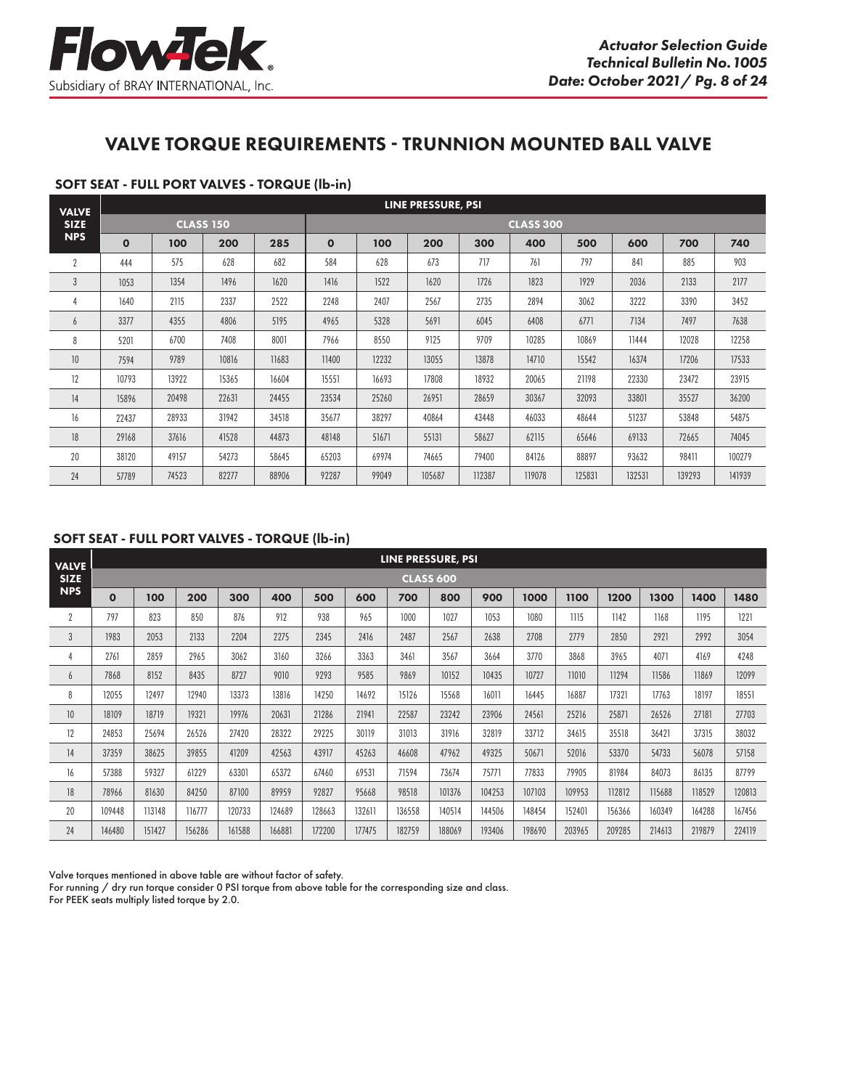

# VALVE TORQUE REQUIREMENTS - TRUNNION MOUNTED BALL VALVE

### SOFT SEAT - FULL PORT VALVES - TORQUE (lb-in)

| <b>VALVE</b>    |              |       |                  |       | LINE PRESSURE, PSI |       |        |        |                  |        |        |        |        |
|-----------------|--------------|-------|------------------|-------|--------------------|-------|--------|--------|------------------|--------|--------|--------|--------|
| <b>SIZE</b>     |              |       | <b>CLASS 150</b> |       |                    |       |        |        | <b>CLASS 300</b> |        |        |        |        |
| <b>NPS</b>      | $\mathbf{o}$ | 100   | 200              | 285   | $\mathbf{o}$       | 100   | 200    | 300    | 400              | 500    | 600    | 700    | 740    |
| $\overline{2}$  | 444          | 575   | 628              | 682   | 584                | 628   | 673    | 717    | 761              | 797    | 841    | 885    | 903    |
| $\mathbf{3}$    | 1053         | 1354  | 1496             | 1620  | 1416               | 1522  | 1620   | 1726   | 1823             | 1929   | 2036   | 2133   | 2177   |
| $\overline{4}$  | 1640         | 2115  | 2337             | 2522  | 2248               | 2407  | 2567   | 2735   | 2894             | 3062   | 3222   | 3390   | 3452   |
| 6               | 3377         | 4355  | 4806             | 5195  | 4965               | 5328  | 5691   | 6045   | 6408             | 6771   | 7134   | 7497   | 7638   |
| 8               | 5201         | 6700  | 7408             | 8001  | 7966               | 8550  | 9125   | 9709   | 10285            | 10869  | 11444  | 12028  | 12258  |
| 10 <sup>°</sup> | 7594         | 9789  | 10816            | 11683 | 11400              | 12232 | 13055  | 13878  | 14710            | 15542  | 16374  | 17206  | 17533  |
| 12              | 10793        | 13922 | 15365            | 16604 | 15551              | 16693 | 17808  | 18932  | 20065            | 21198  | 22330  | 23472  | 23915  |
| 14              | 15896        | 20498 | 22631            | 24455 | 23534              | 25260 | 26951  | 28659  | 30367            | 32093  | 33801  | 35527  | 36200  |
| 16              | 22437        | 28933 | 31942            | 34518 | 35677              | 38297 | 40864  | 43448  | 46033            | 48644  | 51237  | 53848  | 54875  |
| 18              | 29168        | 37616 | 41528            | 44873 | 48148              | 51671 | 55131  | 58627  | 62115            | 65646  | 69133  | 72665  | 74045  |
| 20              | 38120        | 49157 | 54273            | 58645 | 65203              | 69974 | 74665  | 79400  | 84126            | 88897  | 93632  | 98411  | 100279 |
| 24              | 57789        | 74523 | 82277            | 88906 | 92287              | 99049 | 105687 | 112387 | 119078           | 125831 | 132531 | 139293 | 141939 |

#### SOFT SEAT - FULL PORT VALVES - TORQUE (lb-in)

| <b>VALVE</b>   |             |        |        |        |        |        |        | LINE PRESSURE, PSI |                  |        |        |        |        |        |        |        |
|----------------|-------------|--------|--------|--------|--------|--------|--------|--------------------|------------------|--------|--------|--------|--------|--------|--------|--------|
| <b>SIZE</b>    |             |        |        |        |        |        |        |                    | <b>CLASS 600</b> |        |        |        |        |        |        |        |
| <b>NPS</b>     | $\mathbf 0$ | 100    | 200    | 300    | 400    | 500    | 600    | 700                | 800              | 900    | 1000   | 1100   | 1200   | 1300   | 1400   | 1480   |
| $\overline{2}$ | 797         | 823    | 850    | 876    | 912    | 938    | 965    | 1000               | 1027             | 1053   | 1080   | 1115   | 1142   | 1168   | 1195   | 1221   |
| $\overline{3}$ | 1983        | 2053   | 2133   | 2204   | 2275   | 2345   | 2416   | 2487               | 2567             | 2638   | 2708   | 2779   | 2850   | 2921   | 2992   | 3054   |
| 4              | 2761        | 2859   | 2965   | 3062   | 3160   | 3266   | 3363   | 3461               | 3567             | 3664   | 3770   | 3868   | 3965   | 4071   | 4169   | 4248   |
| 6              | 7868        | 8152   | 8435   | 8727   | 9010   | 9293   | 9585   | 9869               | 10152            | 10435  | 10727  | 11010  | 11294  | 11586  | 11869  | 12099  |
| 8              | 12055       | 12497  | 12940  | 13373  | 13816  | 14250  | 14692  | 15126              | 15568            | 16011  | 16445  | 16887  | 17321  | 17763  | 18197  | 18551  |
| 10             | 18109       | 18719  | 19321  | 19976  | 20631  | 21286  | 21941  | 22587              | 23242            | 23906  | 24561  | 25216  | 25871  | 26526  | 27181  | 27703  |
| 12             | 24853       | 25694  | 26526  | 27420  | 28322  | 29225  | 30119  | 31013              | 31916            | 32819  | 33712  | 34615  | 35518  | 36421  | 37315  | 38032  |
| 14             | 37359       | 38625  | 39855  | 41209  | 42563  | 43917  | 45263  | 46608              | 47962            | 49325  | 50671  | 52016  | 53370  | 54733  | 56078  | 57158  |
| 16             | 57388       | 59327  | 61229  | 63301  | 65372  | 67460  | 69531  | 71594              | 73674            | 75771  | 77833  | 79905  | 81984  | 84073  | 86135  | 87799  |
| 18             | 78966       | 81630  | 84250  | 87100  | 89959  | 92827  | 95668  | 98518              | 101376           | 104253 | 107103 | 109953 | 112812 | 115688 | 118529 | 120813 |
| 20             | 109448      | 113148 | 116777 | 120733 | 124689 | 128663 | 132611 | 136558             | 140514           | 144506 | 148454 | 152401 | 156366 | 160349 | 164288 | 167456 |
| 24             | 146480      | 151427 | 156286 | 161588 | 166881 | 172200 | 177475 | 182759             | 188069           | 193406 | 198690 | 203965 | 209285 | 214613 | 219879 | 224119 |

Valve torques mentioned in above table are without factor of safety.

For running / dry run torque consider 0 PSI torque from above table for the corresponding size and class. For PEEK seats multiply listed torque by 2.0.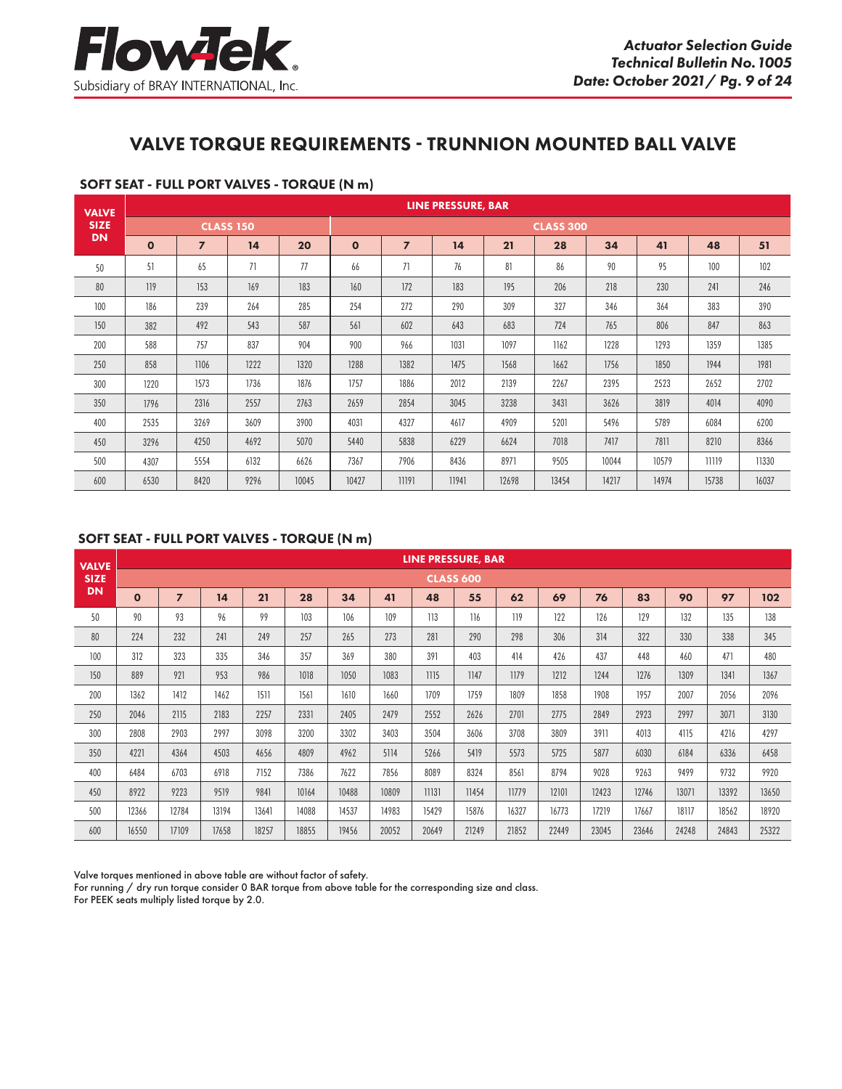# VALVE TORQUE REQUIREMENTS - TRUNNION MOUNTED BALL VALVE

| <b>VALVE</b> |              |                |                  |       | <b>LINE PRESSURE, BAR</b> |                |       |       |                  |       |       |       |       |  |
|--------------|--------------|----------------|------------------|-------|---------------------------|----------------|-------|-------|------------------|-------|-------|-------|-------|--|
| <b>SIZE</b>  |              |                | <b>CLASS 150</b> |       |                           |                |       |       | <b>CLASS 300</b> |       |       |       |       |  |
| <b>DN</b>    | $\mathbf{o}$ | $\overline{7}$ | 14               | 20    | $\mathbf{o}$              | $\overline{z}$ | 14    | 21    | 28               | 34    | 41    | 48    | 51    |  |
| 50           | 51           | 65             | 71               | 77    | 66                        | 71             | 76    | 81    | 86               | 90    | 95    | 100   | 102   |  |
| 80           | 119          | 153            | 169              | 183   | 160                       | 172            | 183   | 195   | 206              | 218   | 230   | 241   | 246   |  |
| 100          | 186          | 239            | 264              | 285   | 254                       | 272            | 290   | 309   | 327              | 346   | 364   | 383   | 390   |  |
| 150          | 382          | 492            | 543              | 587   | 561                       | 602            | 643   | 683   | 724              | 765   | 806   | 847   | 863   |  |
| 200          | 588          | 757            | 837              | 904   | 900                       | 966            | 1031  | 1097  | 1162             | 1228  | 1293  | 1359  | 1385  |  |
| 250          | 858          | 1106           | 1222             | 1320  | 1288                      | 1382           | 1475  | 1568  | 1662             | 1756  | 1850  | 1944  | 1981  |  |
| 300          | 1220         | 1573           | 1736             | 1876  | 1757                      | 1886           | 2012  | 2139  | 2267             | 2395  | 2523  | 2652  | 2702  |  |
| 350          | 1796         | 2316           | 2557             | 2763  | 2659                      | 2854           | 3045  | 3238  | 3431             | 3626  | 3819  | 4014  | 4090  |  |
| 400          | 2535         | 3269           | 3609             | 3900  | 4031                      | 4327           | 4617  | 4909  | 5201             | 5496  | 5789  | 6084  | 6200  |  |
| 450          | 3296         | 4250           | 4692             | 5070  | 5440                      | 5838           | 6229  | 6624  | 7018             | 7417  | 7811  | 8210  | 8366  |  |
| 500          | 4307         | 5554           | 6132             | 6626  | 7367                      | 7906           | 8436  | 8971  | 9505             | 10044 | 10579 | 11119 | 11330 |  |
| 600          | 6530         | 8420           | 9296             | 10045 | 10427                     | 11191          | 11941 | 12698 | 13454            | 14217 | 14974 | 15738 | 16037 |  |

## SOFT SEAT - FULL PORT VALVES - TORQUE (N m)

#### SOFT SEAT - FULL PORT VALVES - TORQUE (N m)

| <b>VALVE</b> |              |                |       |       |       |       |       | <b>LINE PRESSURE, BAR</b> |                  |       |       |       |       |       |       |       |
|--------------|--------------|----------------|-------|-------|-------|-------|-------|---------------------------|------------------|-------|-------|-------|-------|-------|-------|-------|
| <b>SIZE</b>  |              |                |       |       |       |       |       |                           | <b>CLASS 600</b> |       |       |       |       |       |       |       |
| <b>DN</b>    | $\mathbf{o}$ | $\overline{z}$ | 14    | 21    | 28    | 34    | 41    | 48                        | 55               | 62    | 69    | 76    | 83    | 90    | 97    | 102   |
| 50           | 90           | 93             | 96    | 99    | 103   | 106   | 109   | 113                       | 116              | 119   | 122   | 126   | 129   | 132   | 135   | 138   |
| 80           | 224          | 232            | 241   | 249   | 257   | 265   | 273   | 281                       | 290              | 298   | 306   | 314   | 322   | 330   | 338   | 345   |
| 100          | 312          | 323            | 335   | 346   | 357   | 369   | 380   | 391                       | 403              | 414   | 426   | 437   | 448   | 460   | 471   | 480   |
| 150          | 889          | 921            | 953   | 986   | 1018  | 1050  | 1083  | 1115                      | 1147             | 1179  | 1212  | 1244  | 1276  | 1309  | 1341  | 1367  |
| 200          | 1362         | 1412           | 1462  | 1511  | 1561  | 1610  | 1660  | 1709                      | 1759             | 1809  | 1858  | 1908  | 1957  | 2007  | 2056  | 2096  |
| 250          | 2046         | 2115           | 2183  | 2257  | 2331  | 2405  | 2479  | 2552                      | 2626             | 2701  | 2775  | 2849  | 2923  | 2997  | 3071  | 3130  |
| 300          | 2808         | 2903           | 2997  | 3098  | 3200  | 3302  | 3403  | 3504                      | 3606             | 3708  | 3809  | 3911  | 4013  | 4115  | 4216  | 4297  |
| 350          | 4221         | 4364           | 4503  | 4656  | 4809  | 4962  | 5114  | 5266                      | 5419             | 5573  | 5725  | 5877  | 6030  | 6184  | 6336  | 6458  |
| 400          | 6484         | 6703           | 6918  | 7152  | 7386  | 7622  | 7856  | 8089                      | 8324             | 8561  | 8794  | 9028  | 9263  | 9499  | 9732  | 9920  |
| 450          | 8922         | 9223           | 9519  | 9841  | 10164 | 10488 | 10809 | 11131                     | 11454            | 11779 | 12101 | 12423 | 12746 | 13071 | 13392 | 13650 |
| 500          | 12366        | 12784          | 13194 | 13641 | 14088 | 14537 | 14983 | 15429                     | 15876            | 16327 | 16773 | 17219 | 17667 | 18117 | 18562 | 18920 |
| 600          | 16550        | 17109          | 17658 | 18257 | 18855 | 19456 | 20052 | 20649                     | 21249            | 21852 | 22449 | 23045 | 23646 | 24248 | 24843 | 25322 |

Valve torques mentioned in above table are without factor of safety.

For running / dry run torque consider 0 BAR torque from above table for the corresponding size and class. For PEEK seats multiply listed torque by 2.0.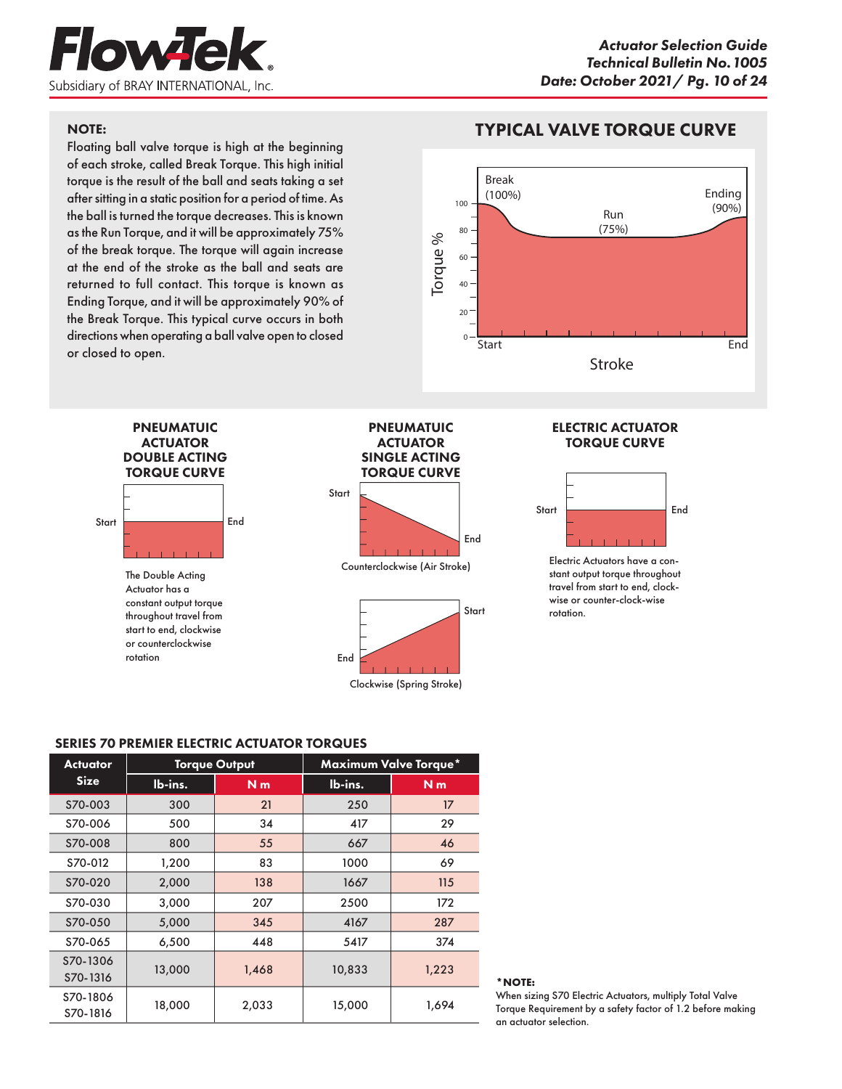

### NOTE:

Floating ball valve torque is high at the beginning of each stroke, called Break Torque. This high initial torque is the result of the ball and seats taking a set after sitting in a static position for a period of time. As the ball is turned the torque decreases. This is known as the Run Torque, and it will be approximately 75% of the break torque. The torque will again increase at the end of the stroke as the ball and seats are returned to full contact. This torque is known as Ending Torque, and it will be approximately 90% of the Break Torque. This typical curve occurs in both directions when operating a ball valve open to closed or closed to open.

# TYPICAL VALVE TORQUE CURVE



Start End PNEUMATUIC **ACTUATOR** DOUBLE ACTING TORQUE CURVE The Double Acting Actuator has a constant output torque throughout travel from start to end, clockwise or counterclockwise rotation PNEUMATUIC **ACTUATOR** SINGLE ACTING TORQUE CURVE Start Start End End Counterclockwise (Air Stroke) Clockwise (Spring Stroke)

#### ELECTRIC ACTUATOR TORQUE CURVE



Electric Actuators have a constant output torque throughout travel from start to end, clockwise or counter-clock-wise rotation.

## SERIES 70 PREMIER ELECTRIC ACTUATOR TORQUES

| <b>Actuator</b>      |         | <b>Torque Output</b> |         | <b>Maximum Valve Torque*</b> |
|----------------------|---------|----------------------|---------|------------------------------|
| <b>Size</b>          | lb-ins. | N <sub>m</sub>       | lb-ins. | N <sub>m</sub>               |
| S70-003              | 300     | 21                   | 250     | 17                           |
| S70-006              | 500     | 34                   | 417     | 29                           |
| S70-008              | 800     | 55                   | 667     | 46                           |
| S70-012              | 1,200   | 83                   | 1000    | 69                           |
| S70-020              | 2,000   | 138                  | 1667    | 115                          |
| S70-030              | 3,000   | 207                  | 2500    | 172                          |
| S70-050              | 5,000   | 345                  | 4167    | 287                          |
| S70-065              | 6,500   | 448                  | 5417    | 374                          |
| S70-1306<br>S70-1316 | 13,000  | 1,468                | 10,833  | 1,223                        |
| S70-1806<br>S70-1816 | 18,000  | 2,033                | 15,000  | 1,694                        |

#### **\*NOTE:**

When sizing S70 Electric Actuators, multiply Total Valve Torque Requirement by a safety factor of 1.2 before making an actuator selection.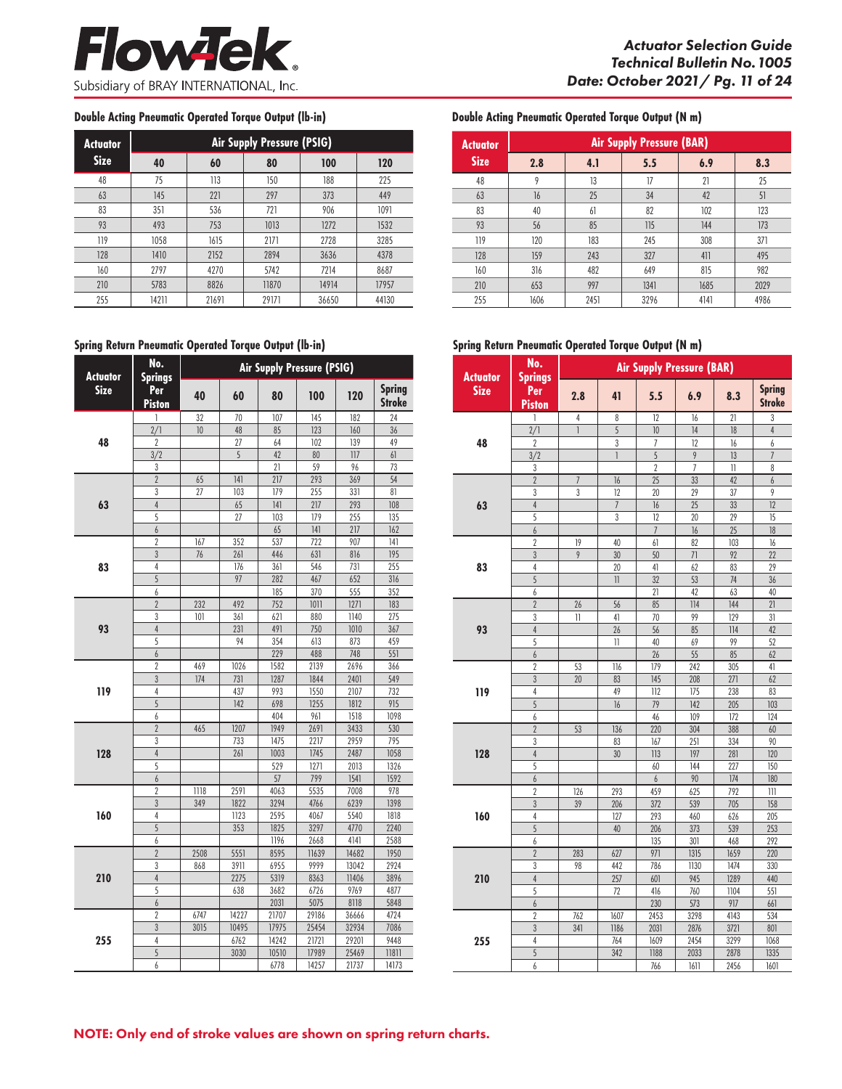#### **Double Acting Pneumatic Operated Torque Output (lb-in) Double Acting Pneumatic Operated Torque Output (N m)**

| <b>Actuator</b> |       |       | Air Supply Pressure (PSIG) |       |       |
|-----------------|-------|-------|----------------------------|-------|-------|
| <b>Size</b>     | 40    | 60    | 80                         | 100   | 120   |
| 48              | 75    | 113   | 150                        | 188   | 225   |
| 63              | 145   | 221   | 297                        | 373   | 449   |
| 83              | 351   | 536   | 721                        | 906   | 1091  |
| 93              | 493   | 753   | 1013                       | 1272  | 1532  |
| 119             | 1058  | 1615  | 2171                       | 2728  | 3285  |
| 128             | 1410  | 2152  | 2894                       | 3636  | 4378  |
| 160             | 2797  | 4270  | 5742                       | 7214  | 8687  |
| 210             | 5783  | 8826  | 11870                      | 14914 | 17957 |
| 255             | 14211 | 21691 | 29171                      | 36650 | 44130 |

#### **Spring Return Pneumatic Operated Torque Output (lb-in)**

| <b>Actuator</b> | No.<br><b>Springs</b>    | Air Supply Pressure (PSIG) |       |       |       |                  |                                |
|-----------------|--------------------------|----------------------------|-------|-------|-------|------------------|--------------------------------|
| <b>Size</b>     | Per<br>Piston            | 40                         | 60    | 80    | 100   | 120              | <b>Spring</b><br><b>Stroke</b> |
|                 | 1                        | 32                         | 70    | 107   | 145   | 182              | 24                             |
|                 | 2/1                      | 10                         | 48    | 85    | 123   | 160              | 36                             |
| 48              | $\overline{2}$           |                            | 27    | 64    | 102   | 139              | 49                             |
|                 | $\overline{\frac{3}{2}}$ |                            | 5     | 42    | 80    | $\overline{117}$ | 61                             |
|                 | 3                        |                            |       | 21    | 59    | 96               | 73                             |
|                 | $\overline{2}$           | 65                         | 141   | 217   | 293   | 369              | 54                             |
|                 | 3                        | 27                         | 103   | 179   | 255   | 331              | 81                             |
| 63              | $\overline{4}$           |                            | 65    | 4     | 217   | 293              | 108                            |
|                 | 5                        |                            | 27    | 103   | 179   | 255              | 135                            |
|                 | 6                        |                            |       | 65    | 4     | 217              | 162                            |
|                 | $\overline{2}$           | 167                        | 352   | 537   | 722   | 907              | 4                              |
|                 | 3                        | 76                         | 261   | 446   | 631   | 816              | 195                            |
| 83              | 4                        |                            | 176   | 361   | 546   | 731              | 255                            |
|                 | 5                        |                            | 97    | 282   | 467   | 652              | 316                            |
|                 | 6                        |                            |       | 185   | 370   | 555              | 352                            |
|                 | $\overline{2}$           | 232                        | 492   | 752   | 1011  | 1271             | 183                            |
|                 | 3                        | 101                        | 361   | 621   | 880   | 1140             | 275                            |
| 93              | $\overline{4}$           |                            | 231   | 491   | 750   | 1010             | 367                            |
|                 | 5                        |                            | 94    | 354   | 613   | 873              | 459                            |
|                 | 6                        |                            |       | 229   | 488   | 748              | 551                            |
|                 | $\overline{2}$           | 469                        | 1026  | 1582  | 2139  | 2696             | 366                            |
|                 | 3                        | 174                        | 731   | 1287  | 1844  | 2401             | 549                            |
| 119             | 4                        |                            | 437   | 993   | 1550  | 2107             | 732                            |
|                 | 5                        |                            | 142   | 698   | 1255  | 1812             | 915                            |
|                 | $\it{6}$                 |                            |       | 404   | 961   | 1518             | 1098                           |
|                 | $\overline{2}$           | 465                        | 1207  | 1949  | 2691  | 3433             | 530                            |
|                 | 3                        |                            | 733   | 1475  | 2217  | 2959             | 795                            |
| 128             | $\overline{4}$           |                            | 261   | 1003  | 1745  | 2487             | 1058                           |
|                 | 5                        |                            |       | 529   | 1271  | 2013             | 1326                           |
|                 | 6                        |                            |       | 57    | 799   | 1541             | 1592                           |
|                 | $\overline{2}$           | 1118                       | 2591  | 4063  | 5535  | 7008             | 978                            |
|                 | 3                        | 349                        | 1822  | 3294  | 4766  | 6239             | 1398                           |
| 160             | 4                        |                            | 1123  | 2595  | 4067  | 5540             | 1818                           |
|                 | 5                        |                            | 353   | 1825  | 3297  | 4770             | 2240                           |
|                 | 6                        |                            |       | 1196  | 2668  | 4141             | 2588                           |
|                 | $\overline{2}$           | 2508                       | 5551  | 8595  | 11639 | 14682            | 1950                           |
|                 | 3                        | 868                        | 3911  | 6955  | 9999  | 13042            | 2924                           |
| 210             | $\overline{4}$           |                            | 2275  | 5319  | 8363  | 11406            | 3896                           |
|                 | 5                        |                            | 638   | 3682  | 6726  | 9769             | 4877                           |
|                 | $\overline{6}$           |                            |       | 2031  | 5075  | 8118             | 5848                           |
|                 | $\overline{2}$           | 6747                       | 14227 | 21707 | 29186 | 36666            | 4724                           |
|                 | $\overline{3}$           | 3015                       | 10495 | 17975 | 25454 | 32934            | 7086                           |
| 255             | 4                        |                            | 6762  | 14242 | 21721 | 29201            | 9448                           |
|                 | 5                        |                            | 3030  | 10510 | 17989 | 25469            | 11811                          |
|                 | 6                        |                            |       | 6778  | 14257 | 21737            | 14173                          |

| <b>Actuator</b> |      |      | <b>Air Supply Pressure (BAR)</b> |      |      |
|-----------------|------|------|----------------------------------|------|------|
| <b>Size</b>     | 2.8  | 4.1  | 5.5                              | 6.9  | 8.3  |
| 48              | 9    | 13   | 17                               | 21   | 25   |
| 63              | 16   | 25   | 34                               | 42   | 51   |
| 83              | 40   | 61   | 82                               | 102  | 123  |
| 93              | 56   | 85   | 115                              | 144  | 173  |
| 119             | 120  | 183  | 245                              | 308  | 371  |
| 128             | 159  | 243  | 327                              | 411  | 495  |
| 160             | 316  | 482  | 649                              | 815  | 982  |
| 210             | 653  | 997  | 1341                             | 1685 | 2029 |
| 255             | 1606 | 2451 | 3296                             | 4141 | 4986 |

#### **Spring Return Pneumatic Operated Torque Output (N m)**

| <b>Actuator</b> | No.<br><b>Springs</b> |                | <b>Air Supply Pressure (BAR)</b> |                  |                 |                   |                                |
|-----------------|-----------------------|----------------|----------------------------------|------------------|-----------------|-------------------|--------------------------------|
| <b>Size</b>     | Per<br>Piston         | 2.8            | 41                               | 5.5              | 6.9             | 8.3               | <b>Spring</b><br><b>Stroke</b> |
|                 | 1                     | 4              | 8                                | 12               | 16              | 21                | 3                              |
|                 | 2/1                   | 1              | 5                                | 10               | 14              | 18                | $\overline{4}$                 |
| 48              | $\overline{2}$        |                | 3                                | 7                | 12              | 16                | 6                              |
|                 | $\frac{3}{2}$         |                | 1                                | $\overline{5}$   | 9               | 13                | $\overline{I}$                 |
|                 | 3                     |                |                                  | $\overline{2}$   | $\overline{1}$  | 11                | 8                              |
|                 | $\overline{2}$        | $\overline{7}$ | 16                               | $\overline{25}$  | $\overline{33}$ | 42                | $\overline{6}$                 |
|                 | 3                     | 3              | 12                               | 20               | 29              | 37                | 9                              |
| 63              | $\overline{4}$        |                | $\overline{7}$                   | 16               | 25              | 33                | 12                             |
|                 | 5                     |                | 3                                | 12               | 20              | 29                | 15                             |
|                 | 6                     |                |                                  | $\overline{1}$   | 16              | 25                | 18                             |
|                 | $\overline{2}$        | 19             | 40                               | 61               | 82              | 103               | 16                             |
|                 | $\overline{3}$        | 9              | 30                               | 50               | 71              | 92                | 22                             |
| 83              | 4                     |                | 20                               | 41               | 62              | 83                | 29                             |
|                 | 5                     |                | 11                               | 32               | 53              | 74                | 36                             |
|                 | 6                     |                |                                  | 21               | 42              | 63                | 40                             |
|                 | $\overline{2}$        | 26             | 56                               | 85               | 114             | 144               | 21                             |
|                 | 3                     | 11             | 41                               | 70               | 99              | 129               | 31                             |
| 93              | $\overline{4}$        |                | 26                               | 56               | 85              | 114               | 42                             |
|                 | 5                     |                | $\mathbf{I}$                     | 40               | 69              | 99                | 52                             |
|                 | $\boldsymbol{6}$      |                |                                  | 26               | 55              | 85                | 62                             |
|                 | $\overline{2}$        | 53             | 116                              | $\overline{179}$ | 242             | 305               | 41                             |
|                 | 3                     | 20             | 83                               | 145              | 208             | 271               | 62                             |
| 119             | $\overline{4}$        |                | 49                               | 112              | 175             | 238               | 83                             |
|                 | 5                     |                | 16                               | 79               | 142             | 205               | 103                            |
|                 | $\it{6}$              |                |                                  | 46               | 109             | 172               | 124                            |
|                 | $\overline{2}$        | 53             | 136                              | 220              | 304             | 388               | 60                             |
|                 | 3                     |                | 83                               | $\overline{167}$ | 251             | 334               | 90                             |
| 128             | $\overline{4}$        |                | 30                               | $\overline{113}$ | 197             | 281               | 120                            |
|                 | 5                     |                |                                  | 60               | 144             | 227               | 150                            |
|                 | 6                     |                |                                  | $\boldsymbol{6}$ | 90              | 174               | 180                            |
|                 | $\overline{2}$        | 126            | 293                              | 459              | 625             | 792               | 111                            |
|                 | $\overline{3}$        | 39             | 206                              | 372              | 539             | 705               | 158                            |
| 160             | 4                     |                | 127                              | 293              | 460             | 626               | 205                            |
|                 | $\overline{5}$        |                | 40                               | 206              | 373             | 539               | 253                            |
|                 | 6                     |                |                                  | 135              | 301             | 468               | 292                            |
|                 | $\overline{2}$        | 283            | 627                              | 971              | 1315            | 1659              | 220                            |
|                 | 3                     | 98             | 442                              | 786              | 1130            | 1474              | 330                            |
| 210             | $\overline{4}$        |                | 257                              | 601              | 945             | 1289              | 440                            |
|                 | 5                     |                | 72                               | 416              | 760             | 1104              | 551                            |
|                 | $\overline{6}$        |                |                                  | 230              | 573             | 917               | 661                            |
|                 | $\overline{2}$        | 762            | 1607                             | 2453             | 3298            | 4143              | 534                            |
|                 | $\overline{3}$        | 341            | 1186                             | 2031             | 2876            | $\overline{3721}$ | 801                            |
| 255             | 4                     |                | 764                              | 1609             | 2454            | 3299              | 1068                           |
|                 | 5                     |                | 342                              | 1188             | 2033            | 2878              | 1335                           |
|                 | 6                     |                |                                  | 766              | 1611            | 2456              | 1601                           |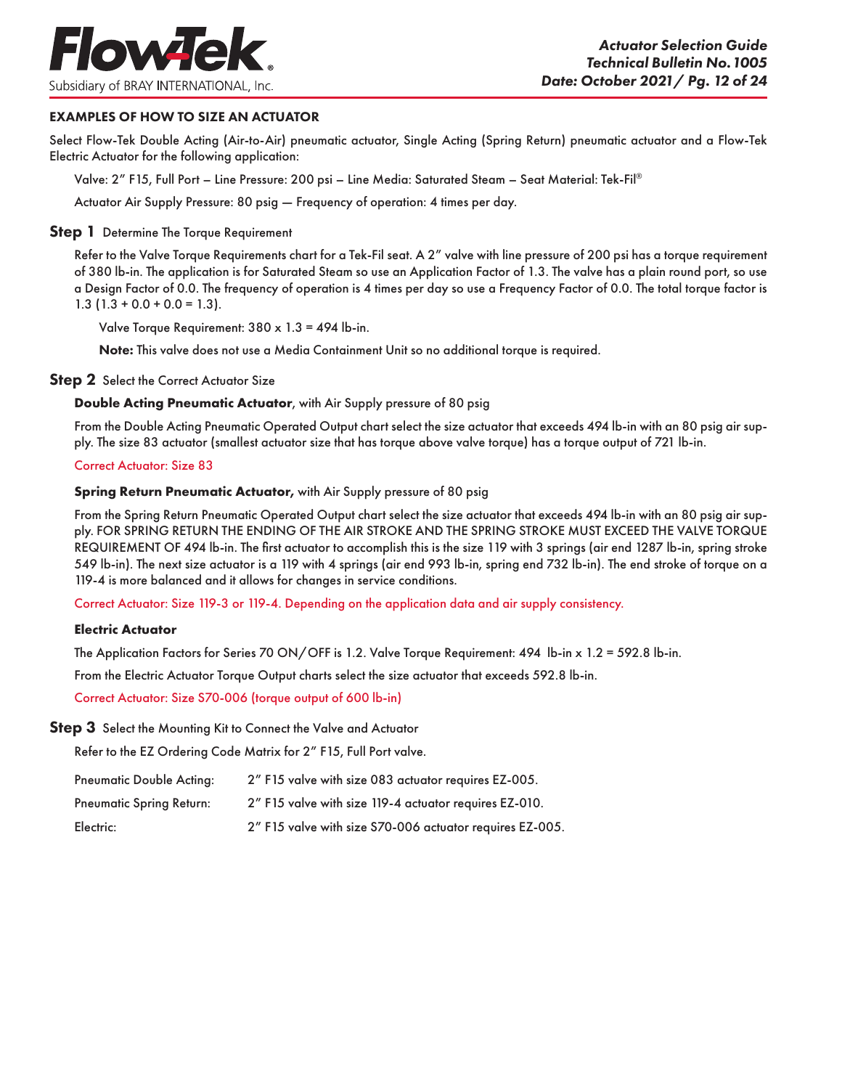

### EXAMPLES OF HOW TO SIZE AN ACTUATOR

Select Flow-Tek Double Acting (Air-to-Air) pneumatic actuator, Single Acting (Spring Return) pneumatic actuator and a Flow-Tek Electric Actuator for the following application:

Valve: 2" F15, Full Port – Line Pressure: 200 psi – Line Media: Saturated Steam – Seat Material: Tek-Fil®

Actuator Air Supply Pressure: 80 psig — Frequency of operation: 4 times per day.

#### **Step 1** Determine The Torque Requirement

Refer to the Valve Torque Requirements chart for a Tek-Fil seat. A 2" valve with line pressure of 200 psi has a torque requirement of 380 lb-in. The application is for Saturated Steam so use an Application Factor of 1.3. The valve has a plain round port, so use a Design Factor of 0.0. The frequency of operation is 4 times per day so use a Frequency Factor of 0.0. The total torque factor is  $1.3$  (1.3 + 0.0 + 0.0 = 1.3).

Valve Torque Requirement: 380 x 1.3 = 494 lb-in.

Note: This valve does not use a Media Containment Unit so no additional torque is required.

#### **Step 2** Select the Correct Actuator Size

#### **Double Acting Pneumatic Actuator**, with Air Supply pressure of 80 psig

From the Double Acting Pneumatic Operated Output chart select the size actuator that exceeds 494 lb-in with an 80 psig air supply. The size 83 actuator (smallest actuator size that has torque above valve torque) has a torque output of 721 lb-in.

#### Correct Actuator: Size 83

#### **Spring Return Pneumatic Actuator,** with Air Supply pressure of 80 psig

From the Spring Return Pneumatic Operated Output chart select the size actuator that exceeds 494 lb-in with an 80 psig air supply. FOR SPRING RETURN THE ENDING OF THE AIR STROKE AND THE SPRING STROKE MUST EXCEED THE VALVE TORQUE REQUIREMENT OF 494 lb-in. The first actuator to accomplish this is the size 119 with 3 springs (air end 1287 lb-in, spring stroke 549 lb-in). The next size actuator is a 119 with 4 springs (air end 993 lb-in, spring end 732 lb-in). The end stroke of torque on a 119-4 is more balanced and it allows for changes in service conditions.

Correct Actuator: Size 119-3 or 119-4. Depending on the application data and air supply consistency.

#### **Electric Actuator**

The Application Factors for Series 70 ON/OFF is 1.2. Valve Torque Requirement: 494 lb-in x 1.2 = 592.8 lb-in.

From the Electric Actuator Torque Output charts select the size actuator that exceeds 592.8 lb-in.

Correct Actuator: Size S70-006 (torque output of 600 lb-in)

#### **Step 3** Select the Mounting Kit to Connect the Valve and Actuator

Refer to the EZ Ordering Code Matrix for 2" F15, Full Port valve.

| <b>Pneumatic Double Acting:</b> | 2" F15 valve with size 083 actuator requires EZ-005.     |
|---------------------------------|----------------------------------------------------------|
| <b>Pneumatic Spring Return:</b> | 2" F15 valve with size 119-4 actuator requires EZ-010.   |
| Electric:                       | 2" F15 valve with size S70-006 actuator requires EZ-005. |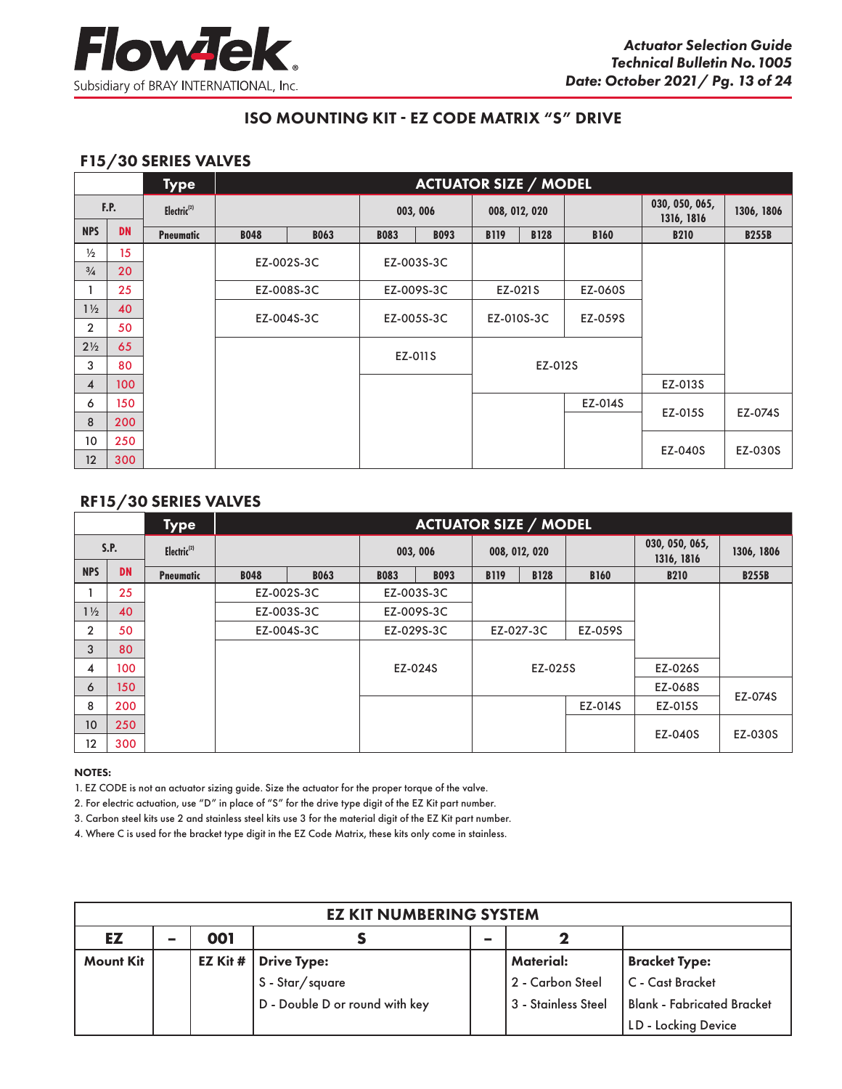

# F15/30 SERIES VALVES

|                |           | <b>Type</b>             |             |             |             | <b>ACTUATOR SIZE / MODEL</b> |             |               |             |                              |              |
|----------------|-----------|-------------------------|-------------|-------------|-------------|------------------------------|-------------|---------------|-------------|------------------------------|--------------|
|                | F.P.      | Electric <sup>(2)</sup> |             |             |             | 003, 006                     |             | 008, 012, 020 |             | 030, 050, 065,<br>1316, 1816 | 1306, 1806   |
| <b>NPS</b>     | <b>DN</b> | <b>Pneumatic</b>        | <b>B048</b> | <b>B063</b> | <b>B083</b> | <b>B093</b>                  | <b>B119</b> | <b>B128</b>   | <b>B160</b> | <b>B210</b>                  | <b>B255B</b> |
| $\frac{1}{2}$  | 15        |                         |             |             |             | EZ-003S-3C                   |             |               |             |                              |              |
| $\frac{3}{4}$  | 20        |                         | EZ-002S-3C  |             |             |                              |             |               |             |                              |              |
|                | 25        |                         | EZ-008S-3C  |             |             | EZ-009S-3C                   | EZ-021S     |               | EZ-060S     |                              |              |
| $1\frac{1}{2}$ | 40        |                         |             |             |             | EZ-005S-3C                   | EZ-010S-3C  |               | EZ-059S     |                              |              |
| $\overline{2}$ | 50        |                         | EZ-004S-3C  |             |             |                              |             |               |             |                              |              |
| $2\frac{1}{2}$ | 65        |                         |             |             |             |                              |             |               |             |                              |              |
| 3              | 80        |                         |             |             |             | EZ-011S                      |             | EZ-012S       |             |                              |              |
| 4              | 100       |                         |             |             |             |                              |             |               |             | EZ-013S                      |              |
| 6              | 150       |                         |             |             |             |                              |             |               | EZ-014S     |                              |              |
| 8              | 200       |                         |             |             |             |                              |             |               |             | EZ-015S                      | EZ-074S      |
| 10             | 250       |                         |             |             |             |                              |             |               |             |                              |              |
| 12             | 300       |                         |             |             |             |                              |             |               |             | EZ-040S                      | EZ-030S      |

# RF15/30 SERIES VALVES

|                   |           | <b>Type</b>             |             |             |                            | <b>ACTUATOR SIZE / MODEL</b> |               |             |             |                              |              |
|-------------------|-----------|-------------------------|-------------|-------------|----------------------------|------------------------------|---------------|-------------|-------------|------------------------------|--------------|
|                   | S.P.      | Electric <sup>(2)</sup> |             |             | 003, 006                   |                              | 008, 012, 020 |             |             | 030, 050, 065,<br>1316, 1816 | 1306, 1806   |
| <b>NPS</b>        | <b>DN</b> | <b>Pneumatic</b>        | <b>B048</b> | <b>B063</b> | <b>B093</b><br><b>B083</b> |                              | <b>B119</b>   | <b>B128</b> | <b>B160</b> | <b>B210</b>                  | <b>B255B</b> |
|                   | 25        |                         | EZ-002S-3C  |             | EZ-003S-3C                 |                              |               |             |             |                              |              |
| $1\frac{1}{2}$    | 40        |                         | EZ-003S-3C  |             | EZ-009S-3C                 |                              |               |             |             |                              |              |
| $\overline{2}$    | 50        |                         | EZ-004S-3C  |             |                            | EZ-029S-3C                   |               | EZ-027-3C   | EZ-059S     |                              |              |
| 3                 | 80        |                         |             |             |                            |                              |               |             |             |                              |              |
| 4                 | 100       |                         |             |             |                            | EZ-024S                      |               | EZ-025S     |             | EZ-026S                      |              |
| 6                 | 150       |                         |             |             |                            |                              |               |             |             | EZ-068S                      | EZ-074S      |
| 8                 | 200       |                         |             |             |                            |                              |               |             | EZ-014S     | EZ-015S                      |              |
| 10                | 250       |                         |             |             |                            |                              |               |             |             |                              |              |
| $12 \overline{ }$ | 300       |                         |             |             |                            |                              |               |             |             | EZ-040S                      | EZ-030S      |

#### NOTES:

1. EZ CODE is not an actuator sizing guide. Size the actuator for the proper torque of the valve.

2. For electric actuation, use "D" in place of "S" for the drive type digit of the EZ Kit part number.

3. Carbon steel kits use 2 and stainless steel kits use 3 for the material digit of the EZ Kit part number.

4. Where C is used for the bracket type digit in the EZ Code Matrix, these kits only come in stainless.

| <b>EZ KIT NUMBERING SYSTEM</b>             |  |         |                                |  |                     |                                   |  |  |  |  |  |
|--------------------------------------------|--|---------|--------------------------------|--|---------------------|-----------------------------------|--|--|--|--|--|
| EZ<br>001<br>-<br>$\overline{\phantom{a}}$ |  |         |                                |  |                     |                                   |  |  |  |  |  |
| <b>Mount Kit</b>                           |  | EZ Kit# | <b>Drive Type:</b>             |  | Material:           | <b>Bracket Type:</b>              |  |  |  |  |  |
|                                            |  |         | S - Star/square                |  | l 2 - Carbon Steel  | C - Cast Bracket                  |  |  |  |  |  |
|                                            |  |         | D - Double D or round with key |  | 3 - Stainless Steel | <b>Blank - Fabricated Bracket</b> |  |  |  |  |  |
|                                            |  |         |                                |  |                     | LD - Locking Device               |  |  |  |  |  |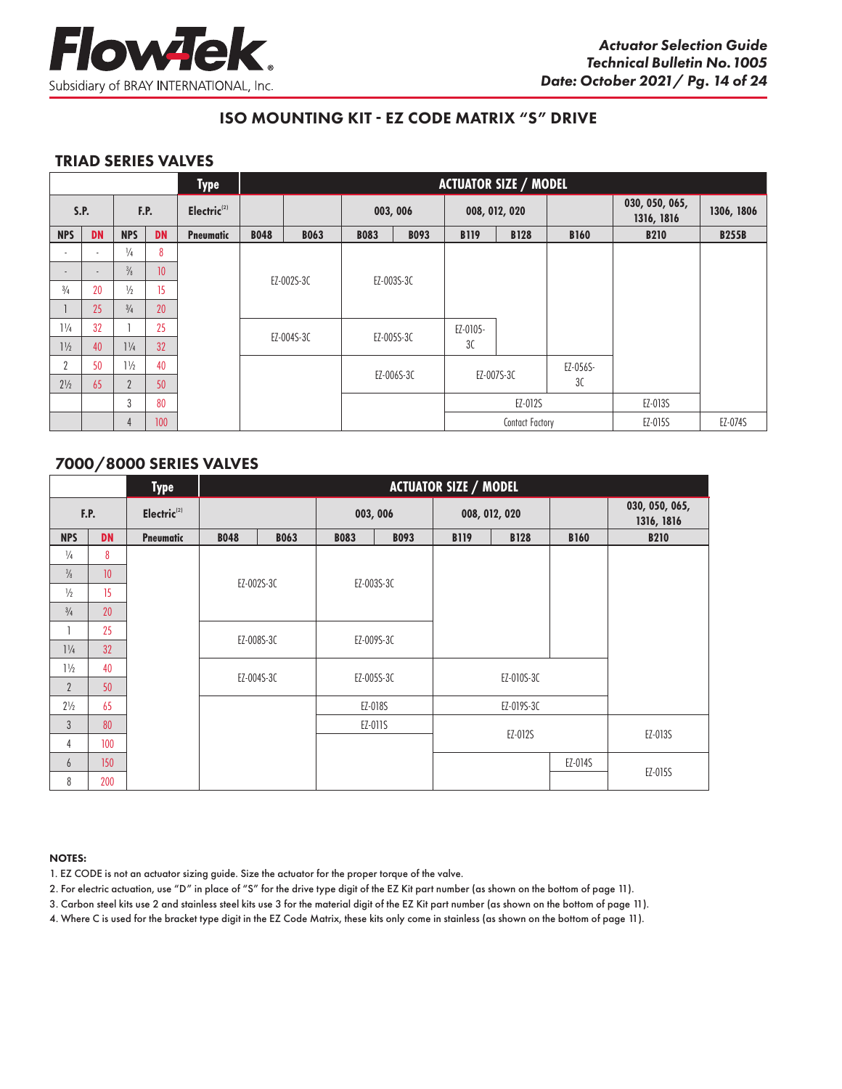

## TRIAD SERIES VALVES

|                |                          |                |                 | <b>Type</b>             |             | <b>ACTUATOR SIZE / MODEL</b> |             |             |               |                 |             |                              |              |  |
|----------------|--------------------------|----------------|-----------------|-------------------------|-------------|------------------------------|-------------|-------------|---------------|-----------------|-------------|------------------------------|--------------|--|
|                | S.P.                     |                | F.P.            | Electric <sup>(2)</sup> |             |                              | 003, 006    |             | 008, 012, 020 |                 |             | 030, 050, 065,<br>1316, 1816 | 1306, 1806   |  |
| <b>NPS</b>     | <b>DN</b>                | <b>NPS</b>     | <b>DN</b>       | <b>Pneumatic</b>        | <b>B048</b> | <b>B063</b>                  | <b>B083</b> | <b>B093</b> | <b>B119</b>   | <b>B128</b>     | <b>B160</b> | <b>B210</b>                  | <b>B255B</b> |  |
|                | $\overline{\phantom{a}}$ | $\frac{1}{4}$  | 8               |                         |             |                              |             |             |               |                 |             |                              |              |  |
|                | ٠                        | $\frac{3}{8}$  | 10 <sup>°</sup> |                         |             |                              |             |             |               |                 |             |                              |              |  |
| $^{3/4}$       | 20                       | $\frac{1}{2}$  | 15              |                         |             | EZ-002S-3C                   |             | EZ-003S-3C  |               |                 |             |                              |              |  |
|                | 25                       | $^{3/4}$       | 20              |                         |             |                              |             |             |               |                 |             |                              |              |  |
| $1\frac{1}{4}$ | 32                       |                | 25              |                         |             | EZ-004S-3C                   |             | EZ-005S-3C  | EZ-0105-      |                 |             |                              |              |  |
| $1\frac{1}{2}$ | 40                       | $1\frac{1}{4}$ | 32              |                         |             |                              |             |             | 3C            |                 |             |                              |              |  |
| <sup>n</sup>   | 50                       | $1\frac{1}{2}$ | 40              |                         |             |                              |             |             |               | EZ-007S-3C      | EZ-056S-    |                              |              |  |
| $2\frac{1}{2}$ | 65                       | $\overline{2}$ | 50              |                         |             |                              |             | EZ-006S-3C  |               |                 | 3C          |                              |              |  |
|                |                          | 3              | 80              |                         |             |                              |             |             |               | EZ-012S         |             | EZ-013S                      |              |  |
|                |                          | 4              | 100             |                         |             |                              |             |             |               | Contact Factory |             | EZ-015S                      | EZ-074S      |  |

# 7000/8000 SERIES VALVES

|                |           | <b>Type</b>             |             |             |                            |            | <b>ACTUATOR SIZE / MODEL</b> |             |             |                              |
|----------------|-----------|-------------------------|-------------|-------------|----------------------------|------------|------------------------------|-------------|-------------|------------------------------|
|                | F.P.      | Electric <sup>(2)</sup> |             |             | 003, 006                   |            | 008, 012, 020                |             |             | 030, 050, 065,<br>1316, 1816 |
| <b>NPS</b>     | <b>DN</b> | <b>Pneumatic</b>        | <b>B048</b> | <b>B063</b> | <b>B093</b><br><b>B083</b> |            | <b>B119</b>                  | <b>B128</b> | <b>B160</b> | <b>B210</b>                  |
| $\frac{1}{4}$  | 8         |                         |             |             |                            |            |                              |             |             |                              |
| $\frac{3}{8}$  | 10        |                         |             |             |                            | EZ-003S-3C |                              |             |             |                              |
| $\frac{1}{2}$  | 15        |                         | EZ-002S-3C  |             |                            |            |                              |             |             |                              |
| $\frac{3}{4}$  | 20        |                         |             |             |                            |            |                              |             |             |                              |
|                | 25        |                         |             |             |                            |            |                              |             |             |                              |
| $1\frac{1}{4}$ | 32        |                         |             | EZ-008S-3C  |                            | EZ-009S-3C |                              |             |             |                              |
| $1\frac{1}{2}$ | 40        |                         |             |             |                            |            |                              |             |             |                              |
| $\overline{2}$ | 50        |                         |             | EZ-004S-3C  |                            | EZ-005S-3C |                              | EZ-010S-3C  |             |                              |
| $2\frac{1}{2}$ | 65        |                         |             |             |                            | EZ-018S    |                              | EZ-019S-3C  |             |                              |
| $\mathbf{3}$   | 80        |                         |             |             |                            | EZ-011S    |                              |             |             |                              |
| 4              | 100       |                         |             |             |                            |            |                              | EZ-012S     |             | EZ-013S                      |
| 6              | 150       |                         |             |             |                            |            |                              |             | EZ-014S     |                              |
| 8              | 200       |                         |             |             |                            |            |                              |             |             | EZ-015S                      |

#### NOTES:

- 1. EZ CODE is not an actuator sizing guide. Size the actuator for the proper torque of the valve.
- 2. For electric actuation, use "D" in place of "S" for the drive type digit of the EZ Kit part number (as shown on the bottom of page 11).
- 3. Carbon steel kits use 2 and stainless steel kits use 3 for the material digit of the EZ Kit part number (as shown on the bottom of page 11).
- 4. Where C is used for the bracket type digit in the EZ Code Matrix, these kits only come in stainless (as shown on the bottom of page 11).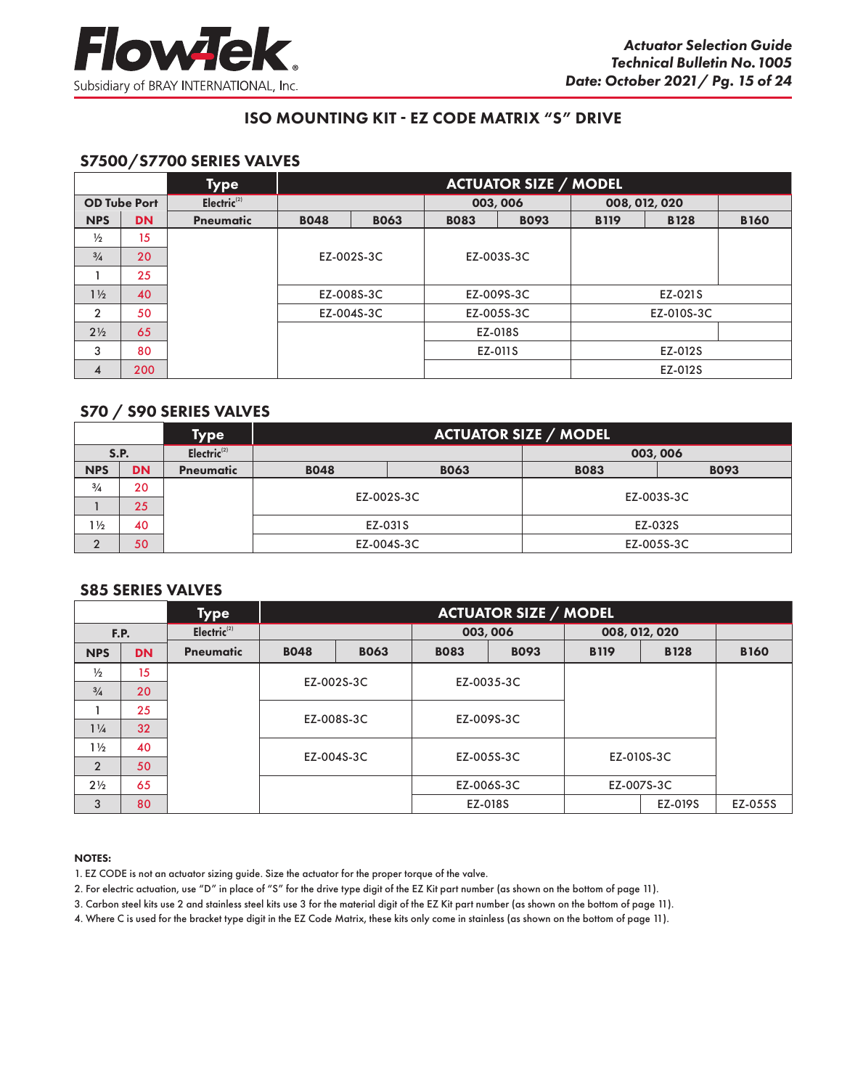

# S7500/S7700 SERIES VALVES

|                |                     | <b>Type</b>    |             | <b>ACTUATOR SIZE / MODEL</b> |             |             |             |               |             |  |
|----------------|---------------------|----------------|-------------|------------------------------|-------------|-------------|-------------|---------------|-------------|--|
|                | <b>OD Tube Port</b> | Electric $(2)$ |             |                              |             | 003, 006    |             | 008, 012, 020 |             |  |
| <b>NPS</b>     | <b>DN</b>           | Pneumatic      | <b>B048</b> | <b>BO63</b>                  | <b>BO83</b> | <b>B093</b> | <b>B119</b> | <b>B128</b>   | <b>B160</b> |  |
| $\frac{1}{2}$  | 15                  |                |             |                              |             |             |             |               |             |  |
| $\frac{3}{4}$  | 20                  |                |             | EZ-002S-3C                   |             | EZ-003S-3C  |             |               |             |  |
|                | 25                  |                |             |                              |             |             |             |               |             |  |
| $1\frac{1}{2}$ | 40                  |                |             | EZ-008S-3C                   | EZ-009S-3C  |             | EZ-021S     |               |             |  |
| $\overline{2}$ | 50                  |                |             | EZ-004S-3C                   | EZ-005S-3C  |             | EZ-010S-3C  |               |             |  |
| $2\frac{1}{2}$ | 65                  |                |             |                              |             | EZ-018S     |             |               |             |  |
| 3              | 80                  |                |             |                              |             | EZ-011S     |             | EZ-012S       |             |  |
| $\overline{4}$ | 200                 |                |             |                              |             |             |             | EZ-012S       |             |  |

## S70 / S90 SERIES VALVES

|                |             | <b>Type</b>             | <b>ACTUATOR SIZE / MODEL</b> |             |             |             |  |  |  |  |
|----------------|-------------|-------------------------|------------------------------|-------------|-------------|-------------|--|--|--|--|
|                | <b>S.P.</b> | Electric <sup>(2)</sup> |                              |             | 003,006     |             |  |  |  |  |
| <b>NPS</b>     | <b>DN</b>   | Pneumatic               | <b>B048</b>                  | <b>BO63</b> | <b>BO83</b> | <b>B093</b> |  |  |  |  |
| $\frac{3}{4}$  | 20          |                         |                              |             | EZ-003S-3C  |             |  |  |  |  |
|                | 25          |                         |                              | EZ-002S-3C  |             |             |  |  |  |  |
| $1\frac{1}{2}$ | 40          |                         |                              | EZ-031S     | EZ-032S     |             |  |  |  |  |
| $\overline{2}$ | 50          |                         |                              | EZ-004S-3C  |             | EZ-005S-3C  |  |  |  |  |

#### S85 SERIES VALVES

|                |             | <b>Type</b>             |             | <b>ACTUATOR SIZE / MODEL</b> |             |             |               |             |             |  |  |
|----------------|-------------|-------------------------|-------------|------------------------------|-------------|-------------|---------------|-------------|-------------|--|--|
|                | <b>F.P.</b> | Electric <sup>(2)</sup> |             |                              |             | 003, 006    | 008, 012, 020 |             |             |  |  |
| <b>NPS</b>     | <b>DN</b>   | Pneumatic               | <b>B048</b> | <b>BO63</b>                  | <b>BO83</b> | <b>B093</b> | <b>B119</b>   | <b>B128</b> | <b>B160</b> |  |  |
| $\frac{1}{2}$  | 15          |                         | EZ-002S-3C  |                              |             |             |               |             |             |  |  |
| $^{3/4}$       | 20          |                         |             |                              |             | EZ-0035-3C  |               |             |             |  |  |
|                | 25          |                         |             |                              |             |             |               |             |             |  |  |
| $1\frac{1}{4}$ | 32          |                         |             | EZ-008S-3C                   | EZ-009S-3C  |             |               |             |             |  |  |
| $1\frac{1}{2}$ | 40          |                         |             |                              |             |             |               |             |             |  |  |
| $\overline{2}$ | 50          |                         | EZ-004S-3C  |                              |             | EZ-005S-3C  | EZ-010S-3C    |             |             |  |  |
| $2\frac{1}{2}$ | 65          |                         |             |                              |             | EZ-006S-3C  |               | EZ-007S-3C  |             |  |  |
| 3              | 80          |                         |             |                              |             | EZ-018S     |               | EZ-019S     | EZ-055S     |  |  |

#### NOTES:

- 1. EZ CODE is not an actuator sizing guide. Size the actuator for the proper torque of the valve.
- 2. For electric actuation, use "D" in place of "S" for the drive type digit of the EZ Kit part number (as shown on the bottom of page 11).
- 3. Carbon steel kits use 2 and stainless steel kits use 3 for the material digit of the EZ Kit part number (as shown on the bottom of page 11).
- 4. Where C is used for the bracket type digit in the EZ Code Matrix, these kits only come in stainless (as shown on the bottom of page 11).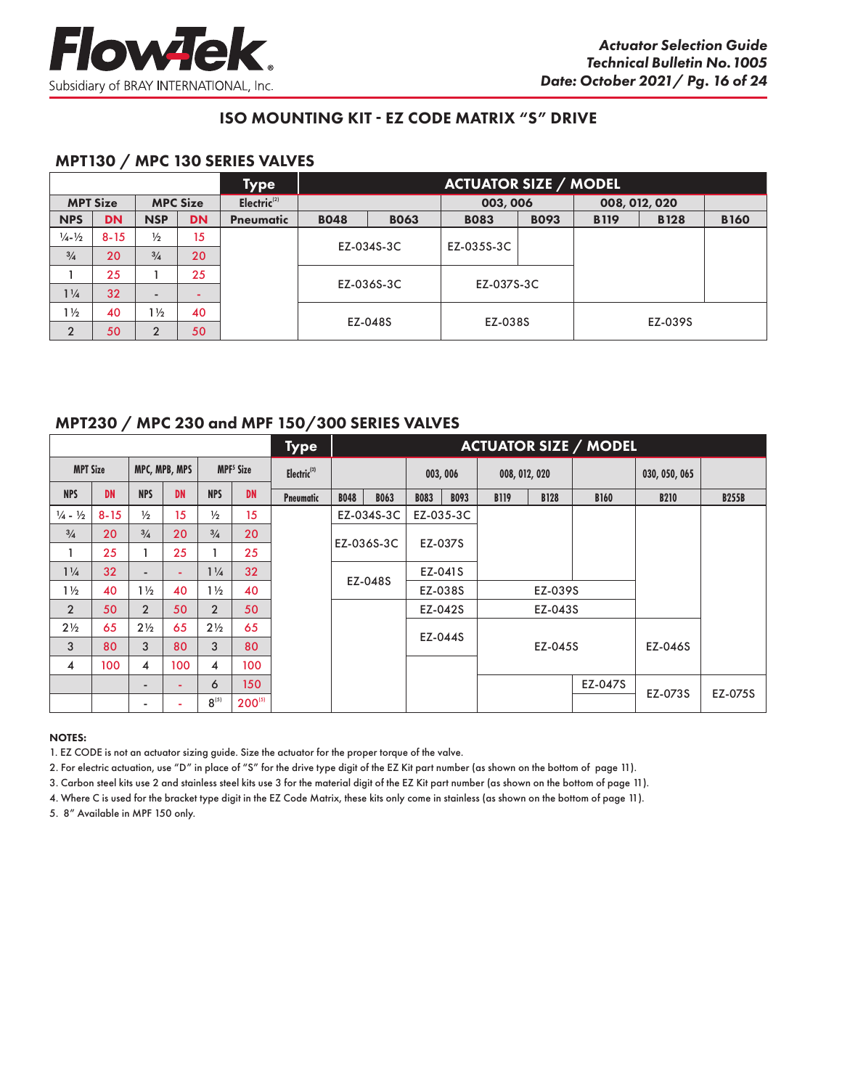

# MPT130 / MPC 130 SERIES VALVES

|                             |                 |                          |                 | Type           |             |             | <b>ACTUATOR SIZE / MODEL</b> |             |             |               |             |
|-----------------------------|-----------------|--------------------------|-----------------|----------------|-------------|-------------|------------------------------|-------------|-------------|---------------|-------------|
|                             | <b>MPT Size</b> |                          | <b>MPC Size</b> | Electric $(2)$ |             |             | 003,006                      |             |             | 008, 012, 020 |             |
| <b>NPS</b>                  | <b>DN</b>       | <b>NSP</b>               | <b>DN</b>       | Pneumatic      | <b>BO48</b> | <b>BO63</b> | <b>BO83</b>                  | <b>B093</b> | <b>B119</b> | <b>B128</b>   | <b>B160</b> |
| $\frac{1}{4} - \frac{1}{2}$ | $8 - 15$        | $\frac{1}{2}$            | 15              |                |             |             |                              |             |             |               |             |
| $\frac{3}{4}$               | 20              | $\frac{3}{4}$            | 20              |                |             | EZ-034S-3C  | EZ-035S-3C                   |             |             |               |             |
|                             | 25              |                          | 25              |                |             |             |                              |             |             |               |             |
| $1\frac{1}{4}$              | 32              | $\overline{\phantom{a}}$ |                 |                |             | EZ-036S-3C  | EZ-037S-3C                   |             |             |               |             |
| $1\frac{1}{2}$              | 40              | $1\frac{1}{2}$           | 40              |                |             |             |                              |             |             |               |             |
| $\overline{2}$              | 50              | າ                        | 50              |                |             | EZ-048S     | EZ-038S                      |             |             | EZ-039S       |             |

# MPT230 / MPC 230 and MPF 150/300 SERIES VALVES

|                               |           |                          |               |                |                             | <b>Type</b>             |             |             |             |             |             |               | <b>ACTUATOR SIZE / MODEL</b> |               |              |
|-------------------------------|-----------|--------------------------|---------------|----------------|-----------------------------|-------------------------|-------------|-------------|-------------|-------------|-------------|---------------|------------------------------|---------------|--------------|
| <b>MPT Size</b>               |           |                          | MPC, MPB, MPS |                | <b>MPF<sup>5</sup></b> Size | Electric <sup>(2)</sup> |             |             | 003,006     |             |             | 008, 012, 020 |                              | 030, 050, 065 |              |
| <b>NPS</b>                    | <b>DN</b> | <b>NPS</b>               | <b>DN</b>     | <b>NPS</b>     | <b>DN</b>                   | <b>Pneumatic</b>        | <b>B048</b> | <b>B063</b> | <b>B083</b> | <b>B093</b> | <b>B119</b> | <b>B128</b>   | <b>B160</b>                  | <b>B210</b>   | <b>B255B</b> |
| $\frac{1}{4}$ - $\frac{1}{2}$ | $8 - 15$  | $\frac{1}{2}$            | 15            | $\frac{1}{2}$  | 15                          |                         |             | EZ-034S-3C  |             | EZ-035-3C   |             |               |                              |               |              |
| $\frac{3}{4}$                 | 20        | $\frac{3}{4}$            | 20            | $\frac{3}{4}$  | 20                          |                         |             |             |             | EZ-037S     |             |               |                              |               |              |
|                               | 25        |                          | 25            |                | 25                          |                         |             | EZ-036S-3C  |             |             |             |               |                              |               |              |
| $1\frac{1}{4}$                | 32        | $\overline{\phantom{a}}$ | ٠             | $1\frac{1}{4}$ | 32                          |                         |             |             |             | EZ-041S     |             |               |                              |               |              |
| $1\frac{1}{2}$                | 40        | $1\frac{1}{2}$           | 40            | $1\frac{1}{2}$ | 40                          |                         |             | EZ-048S     |             | EZ-038S     |             | EZ-039S       |                              |               |              |
| $\overline{2}$                | 50        | $\overline{2}$           | 50            | $\overline{2}$ | 50                          |                         |             |             |             | EZ-042S     |             | EZ-043S       |                              |               |              |
| $2\frac{1}{2}$                | 65        | $2\frac{1}{2}$           | 65            | $2\frac{1}{2}$ | 65                          |                         |             |             |             |             |             |               |                              |               |              |
| 3                             | 80        | 3                        | 80            | 3              | 80                          |                         |             |             |             | EZ-044S     |             | EZ-045S       |                              | EZ-046S       |              |
| 4                             | 100       | 4                        | 100           | 4              | 100                         |                         |             |             |             |             |             |               |                              |               |              |
|                               |           | $\overline{\phantom{a}}$ |               | 6              | 150 <sub>1</sub>            |                         |             |             |             |             |             |               | EZ-047S                      |               |              |
|                               |           | $\overline{\phantom{a}}$ |               | $8^{(5)}$      | $200^{(5)}$                 |                         |             |             |             |             |             |               |                              | EZ-073S       | EZ-075S      |

#### NOTES:

1. EZ CODE is not an actuator sizing guide. Size the actuator for the proper torque of the valve.

2. For electric actuation, use "D" in place of "S" for the drive type digit of the EZ Kit part number (as shown on the bottom of page 11).

3. Carbon steel kits use 2 and stainless steel kits use 3 for the material digit of the EZ Kit part number (as shown on the bottom of page 11).

4. Where C is used for the bracket type digit in the EZ Code Matrix, these kits only come in stainless (as shown on the bottom of page 11).

5. 8" Available in MPF 150 only.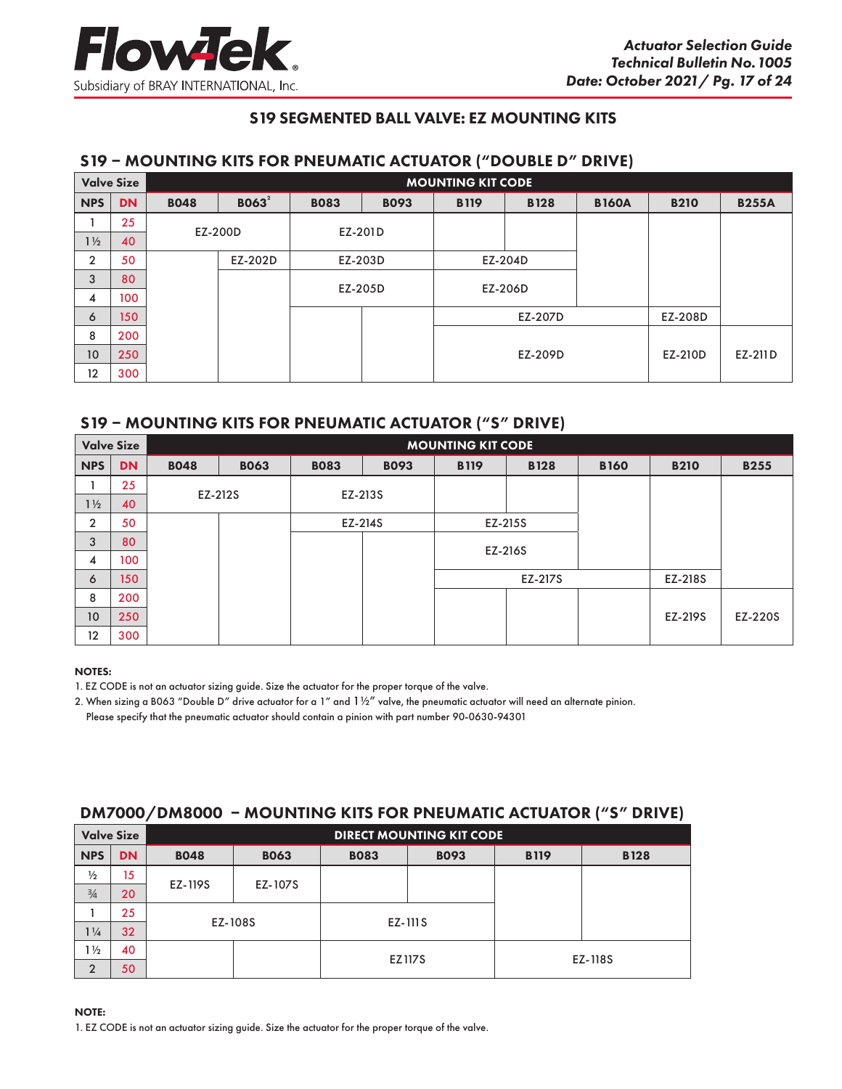# S19 SEGMENTED BALL VALVE: EZ MOUNTING KITS

# S19 – MOUNTING KITS FOR PNEUMATIC ACTUATOR ("DOUBLE D" DRIVE)

| <b>Valve Size</b> |           | <b>MOUNTING KIT CODE</b> |                   |             |             |             |             |              |             |              |
|-------------------|-----------|--------------------------|-------------------|-------------|-------------|-------------|-------------|--------------|-------------|--------------|
| <b>NPS</b>        | <b>DN</b> | <b>BO48</b>              | BO63 <sup>2</sup> | <b>BO83</b> | <b>B093</b> | <b>B119</b> | <b>B128</b> | <b>B160A</b> | <b>B210</b> | <b>B255A</b> |
|                   | 25        |                          | EZ-200D           |             |             |             |             |              |             |              |
| $1\frac{1}{2}$    | 40        |                          |                   | EZ-201D     |             |             |             |              |             |              |
| $\overline{2}$    | 50        |                          | EZ-202D           |             | EZ-203D     |             | EZ-204D     |              |             |              |
| 3                 | 80        |                          |                   |             | EZ-205D     |             | EZ-206D     |              |             |              |
| 4                 | 100       |                          |                   |             |             |             |             |              |             |              |
| 6                 | 150       |                          |                   |             |             | EZ-207D     |             |              | EZ-208D     |              |
| 8                 | 200       |                          |                   |             |             |             |             |              |             |              |
| 10 <sup>°</sup>   | 250       |                          |                   |             |             | EZ-209D     |             |              | EZ-210D     | EZ-211D      |
| 12                | 300       |                          |                   |             |             |             |             |              |             |              |

# S19 – MOUNTING KITS FOR PNEUMATIC ACTUATOR ("S" DRIVE)

| <b>Valve Size</b> |                  | <b>MOUNTING KIT CODE</b> |             |             |             |         |             |             |             |             |
|-------------------|------------------|--------------------------|-------------|-------------|-------------|---------|-------------|-------------|-------------|-------------|
| <b>NPS</b>        | <b>DN</b>        | <b>B048</b>              | <b>BO63</b> | <b>BO83</b> | <b>B093</b> |         | <b>B128</b> | <b>B160</b> | <b>B210</b> | <b>B255</b> |
|                   | 25               | EZ-212S                  |             |             |             |         |             |             |             |             |
| $1\frac{1}{2}$    | 40               |                          |             |             | EZ-213S     |         |             |             |             |             |
| $\overline{2}$    | 50               |                          |             | EZ-214S     |             |         | EZ-215S     |             |             |             |
| 3                 | 80               |                          |             |             |             |         | EZ-216S     |             |             |             |
| 4                 | 100              |                          |             |             |             |         |             |             |             |             |
| 6                 | 150 <sub>1</sub> |                          |             |             |             | EZ-217S |             |             | EZ-218S     |             |
| 8                 | 200              |                          |             |             |             |         |             |             |             |             |
| 10                | 250              |                          |             |             |             |         |             |             | EZ-219S     | EZ-220S     |
| 12                | 300              |                          |             |             |             |         |             |             |             |             |

#### NOTES:

1. EZ CODE is not an actuator sizing guide. Size the actuator for the proper torque of the valve.

2. When sizing a B063 "Double D" drive actuator for a 1" and  $1\frac{1}{2}$ " valve, the pneumatic actuator will need an alternate pinion. Please specify that the pneumatic actuator should contain a pinion with part number 90-0630-94301

# DM7000/DM8000 – MOUNTING KITS FOR PNEUMATIC ACTUATOR ("S" DRIVE)

| <b>Valve Size</b> |           |             |             |             | <b>DIRECT MOUNTING KIT CODE</b> |             |             |
|-------------------|-----------|-------------|-------------|-------------|---------------------------------|-------------|-------------|
| <b>NPS</b>        | <b>DN</b> | <b>BO48</b> | <b>BO63</b> | <b>BO83</b> | <b>B093</b>                     | <b>B119</b> | <b>B128</b> |
| $\frac{1}{2}$     | 15        |             |             |             |                                 |             |             |
| $\frac{3}{4}$     | 20        | EZ-119S     | EZ-107S     |             |                                 |             |             |
|                   | 25        |             |             | EZ-111S     |                                 |             |             |
| $1\frac{1}{4}$    | 32        |             | EZ-108S     |             |                                 |             |             |
| $1\frac{1}{2}$    | 40        |             |             |             |                                 |             |             |
| $\overline{2}$    | 50        |             |             | EZ117S      |                                 |             | EZ-118S     |

NOTE: 1. EZ CODE is not an actuator sizing guide. Size the actuator for the proper torque of the valve.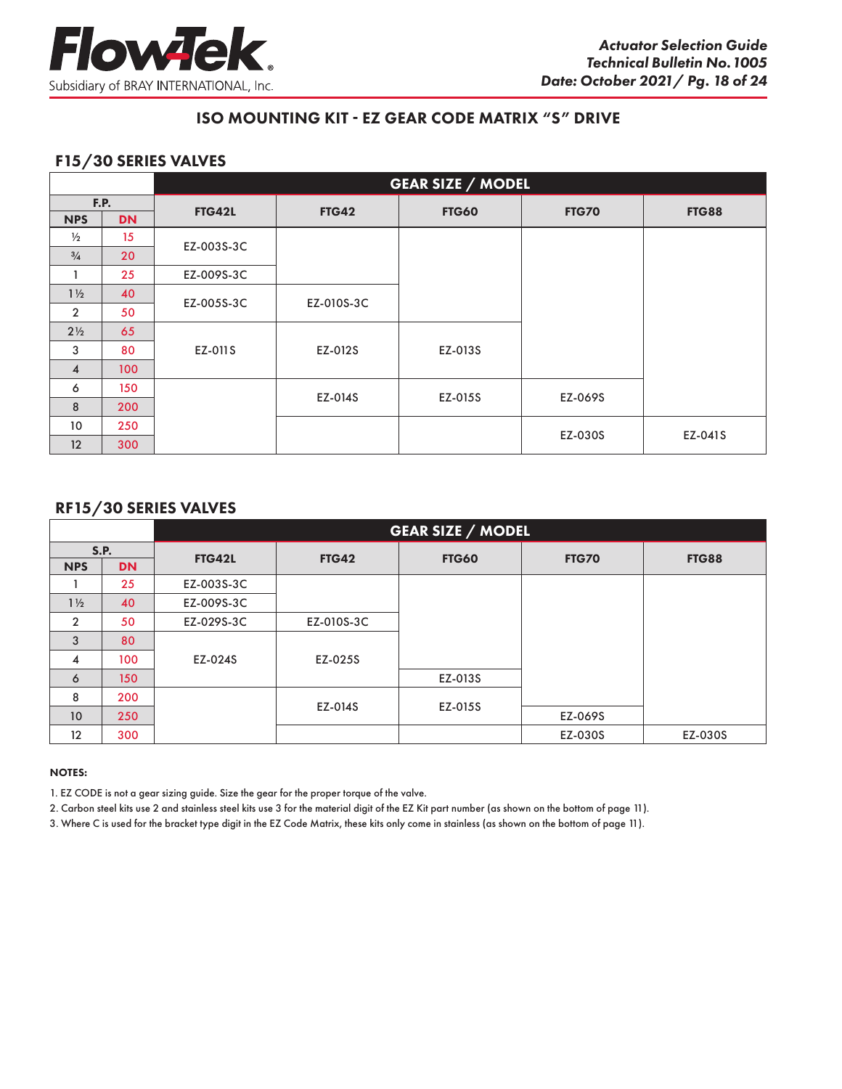

# F15/30 SERIES VALVES

|                |           |               | <b>GEAR SIZE / MODEL</b> |              |              |              |  |  |  |
|----------------|-----------|---------------|--------------------------|--------------|--------------|--------------|--|--|--|
| <b>F.P.</b>    |           | <b>FTG42L</b> | <b>FTG42</b>             | <b>FTG60</b> | <b>FTG70</b> | <b>FTG88</b> |  |  |  |
| <b>NPS</b>     | <b>DN</b> |               |                          |              |              |              |  |  |  |
| $\frac{1}{2}$  | 15        | EZ-003S-3C    |                          |              |              |              |  |  |  |
| $\frac{3}{4}$  | 20        |               |                          |              |              |              |  |  |  |
|                | 25        | EZ-009S-3C    |                          |              |              |              |  |  |  |
| $1\frac{1}{2}$ | 40        | EZ-005S-3C    | EZ-010S-3C               |              |              |              |  |  |  |
| $\overline{2}$ | 50        |               |                          |              |              |              |  |  |  |
| $2\frac{1}{2}$ | 65        |               |                          |              |              |              |  |  |  |
| 3              | 80        | EZ-011S       | EZ-012S                  | EZ-013S      |              |              |  |  |  |
| $\overline{4}$ | 100       |               |                          |              |              |              |  |  |  |
| 6              | 150       |               | EZ-014S                  | EZ-015S      | EZ-069S      |              |  |  |  |
| 8              | 200       |               |                          |              |              |              |  |  |  |
| 10             | 250       |               |                          |              |              |              |  |  |  |
| 12             | 300       |               |                          |              | EZ-030S      | EZ-041S      |  |  |  |

## RF15/30 SERIES VALVES

|                   |           |            |              | <b>GEAR SIZE / MODEL</b> |              |              |
|-------------------|-----------|------------|--------------|--------------------------|--------------|--------------|
|                   | S.P.      | FTG42L     | <b>FTG42</b> | <b>FTG60</b>             | <b>FTG70</b> | <b>FTG88</b> |
| <b>NPS</b>        | <b>DN</b> |            |              |                          |              |              |
|                   | 25        | EZ-003S-3C |              |                          |              |              |
| $1\frac{1}{2}$    | 40        | EZ-009S-3C |              |                          |              |              |
| $\overline{2}$    | 50        | EZ-029S-3C | EZ-010S-3C   |                          |              |              |
| 3                 | 80        |            |              |                          |              |              |
| 4                 | 100       | EZ-024S    | EZ-025S      |                          |              |              |
| 6                 | 150       |            |              | EZ-013S                  |              |              |
| 8                 | 200       |            |              | EZ-015S                  |              |              |
| 10                | 250       |            | EZ-014S      |                          | EZ-069S      |              |
| $12 \overline{ }$ | 300       |            |              |                          | EZ-030S      | EZ-030S      |

#### NOTES:

1. EZ CODE is not a gear sizing guide. Size the gear for the proper torque of the valve.

2. Carbon steel kits use 2 and stainless steel kits use 3 for the material digit of the EZ Kit part number (as shown on the bottom of page 11).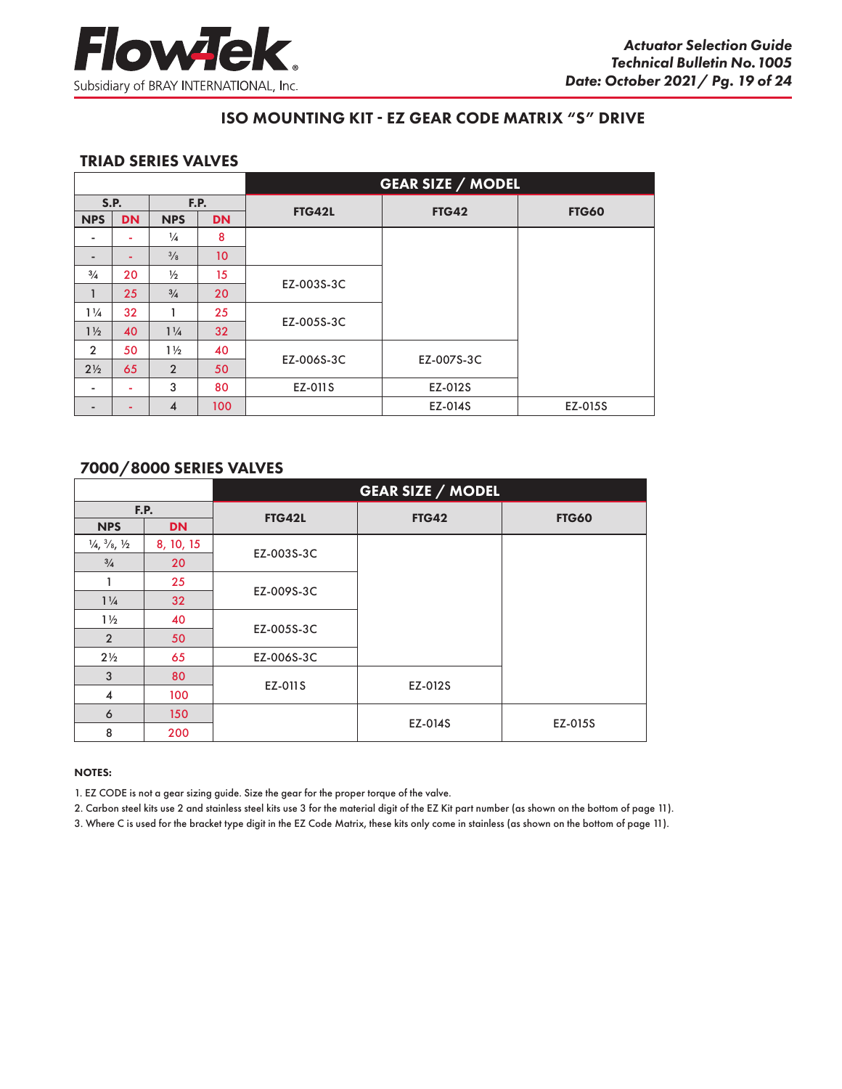

## TRIAD SERIES VALVES

|                          |             |                         |                 |               | <b>GEAR SIZE / MODEL</b> |              |
|--------------------------|-------------|-------------------------|-----------------|---------------|--------------------------|--------------|
|                          | <b>S.P.</b> |                         | F.P.            | <b>FTG42L</b> | <b>FTG42</b>             | <b>FTG60</b> |
| <b>NPS</b>               | <b>DN</b>   | <b>NPS</b>              | <b>DN</b>       |               |                          |              |
|                          | ۰           | $\frac{1}{4}$           | 8               |               |                          |              |
| $\overline{\phantom{a}}$ | ۰.          | $\frac{3}{8}$           | 10 <sup>°</sup> |               |                          |              |
| $\frac{3}{4}$            | 20          | $\frac{1}{2}$           | 15              |               |                          |              |
| 1                        | 25          | $\frac{3}{4}$           | 20              | EZ-003S-3C    |                          |              |
| $1\frac{1}{4}$           | 32          |                         | 25              |               |                          |              |
| $1\frac{1}{2}$           | 40          | $1\frac{1}{4}$          | 32              | EZ-005S-3C    |                          |              |
| $\overline{2}$           | 50          | $1\frac{1}{2}$          | 40              | EZ-006S-3C    | EZ-007S-3C               |              |
| $2\frac{1}{2}$           | 65          | $\overline{2}$          | 50              |               |                          |              |
| ٠                        | ٠           | 3                       | 80              | EZ-011S       | EZ-012S                  |              |
|                          |             | $\overline{\mathbf{4}}$ | 100             |               | EZ-014S                  | EZ-015S      |

# 7000/8000 SERIES VALVES

|                                               |                 |               | <b>GEAR SIZE / MODEL</b> |              |
|-----------------------------------------------|-----------------|---------------|--------------------------|--------------|
|                                               | F.P.            | <b>FTG42L</b> | <b>FTG42</b>             | <b>FTG60</b> |
| <b>NPS</b>                                    | <b>DN</b>       |               |                          |              |
| $\frac{1}{4}$ , $\frac{3}{8}$ , $\frac{1}{2}$ | 8, 10, 15       | EZ-003S-3C    |                          |              |
| $\frac{3}{4}$                                 | 20              |               |                          |              |
| 1                                             | 25              | EZ-009S-3C    |                          |              |
| $1\frac{1}{4}$                                | 32 <sup>2</sup> |               |                          |              |
| $1\frac{1}{2}$                                | 40              | EZ-005S-3C    |                          |              |
| $\overline{2}$                                | 50              |               |                          |              |
| $2\frac{1}{2}$                                | 65              | EZ-006S-3C    |                          |              |
| 3                                             | 80              | EZ-011S       | EZ-012S                  |              |
| $\overline{\mathbf{4}}$                       | 100             |               |                          |              |
| 6                                             | 150             |               | EZ-014S                  | EZ-015S      |
| 8                                             | 200             |               |                          |              |

#### NOTES:

1. EZ CODE is not a gear sizing guide. Size the gear for the proper torque of the valve.

2. Carbon steel kits use 2 and stainless steel kits use 3 for the material digit of the EZ Kit part number (as shown on the bottom of page 11).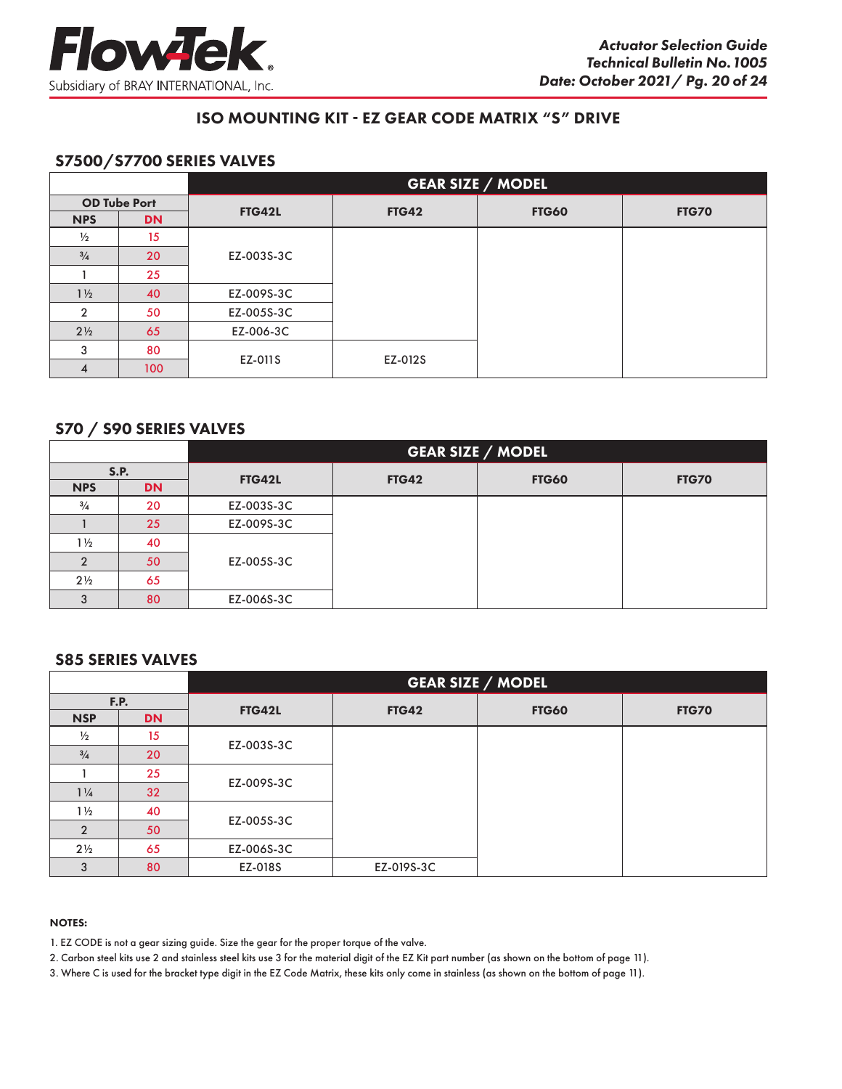

# S7500/S7700 SERIES VALVES

|                |                     |            |              | <b>GEAR SIZE / MODEL</b> |              |  |
|----------------|---------------------|------------|--------------|--------------------------|--------------|--|
|                | <b>OD Tube Port</b> | FTG42L     | <b>FTG42</b> | <b>FTG60</b>             | <b>FTG70</b> |  |
| <b>NPS</b>     | <b>DN</b>           |            |              |                          |              |  |
| $\frac{1}{2}$  | 15                  |            |              |                          |              |  |
| $^{3}/_{4}$    | 20                  | EZ-003S-3C |              |                          |              |  |
|                | 25                  |            |              |                          |              |  |
| $1\frac{1}{2}$ | 40                  | EZ-009S-3C |              |                          |              |  |
| $\overline{2}$ | 50                  | EZ-005S-3C |              |                          |              |  |
| $2\frac{1}{2}$ | 65                  | EZ-006-3C  |              |                          |              |  |
| 3              | 80                  | EZ-011S    | EZ-012S      |                          |              |  |
|                | 100                 |            |              |                          |              |  |

# S70 / S90 SERIES VALVES

|                |           |            | <b>GEAR SIZE / MODEL</b> |              |              |  |  |  |
|----------------|-----------|------------|--------------------------|--------------|--------------|--|--|--|
|                | S.P.      | FTG42L     | <b>FTG42</b>             | <b>FTG60</b> | <b>FTG70</b> |  |  |  |
| <b>NPS</b>     | <b>DN</b> |            |                          |              |              |  |  |  |
| $\frac{3}{4}$  | 20        | EZ-003S-3C |                          |              |              |  |  |  |
|                | 25        | EZ-009S-3C |                          |              |              |  |  |  |
| $1\frac{1}{2}$ | 40        |            |                          |              |              |  |  |  |
|                | 50        | EZ-005S-3C |                          |              |              |  |  |  |
| $2\frac{1}{2}$ | 65        |            |                          |              |              |  |  |  |
| 3              | 80        | EZ-006S-3C |                          |              |              |  |  |  |

## S85 SERIES VALVES

|                |           |               |              | <b>GEAR SIZE / MODEL</b> |              |
|----------------|-----------|---------------|--------------|--------------------------|--------------|
| F.P.           |           | <b>FTG42L</b> | <b>FTG42</b> | <b>FTG60</b>             | <b>FTG70</b> |
| <b>NSP</b>     | <b>DN</b> |               |              |                          |              |
| $\frac{1}{2}$  | 15        | EZ-003S-3C    |              |                          |              |
| $^{3}/_{4}$    | 20        |               |              |                          |              |
|                | 25        | EZ-009S-3C    |              |                          |              |
| $1\frac{1}{4}$ | 32        |               |              |                          |              |
| $1\frac{1}{2}$ | 40        | EZ-005S-3C    |              |                          |              |
| $\mathcal{P}$  | 50        |               |              |                          |              |
| $2\frac{1}{2}$ | 65        | EZ-006S-3C    |              |                          |              |
| 3              | 80        | EZ-018S       | EZ-019S-3C   |                          |              |

#### NOTES:

1. EZ CODE is not a gear sizing guide. Size the gear for the proper torque of the valve.

2. Carbon steel kits use 2 and stainless steel kits use 3 for the material digit of the EZ Kit part number (as shown on the bottom of page 11).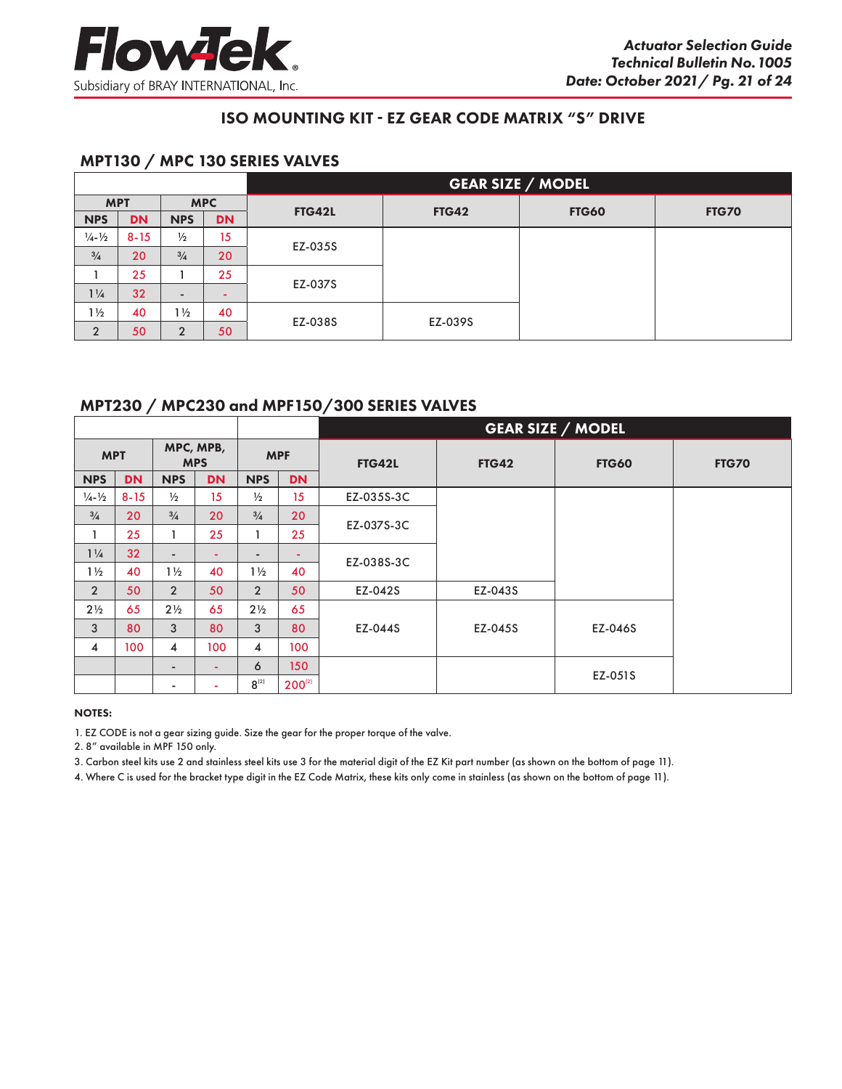

# MPT130 / MPC 130 SERIES VALVES

|                             |           |                |                  | <b>GEAR SIZE / MODEL</b> |              |              |              |  |  |  |
|-----------------------------|-----------|----------------|------------------|--------------------------|--------------|--------------|--------------|--|--|--|
| <b>MPT</b>                  |           |                | <b>MPC</b>       | <b>FTG42L</b>            | <b>FTG42</b> | <b>FTG60</b> |              |  |  |  |
| <b>NPS</b>                  | <b>DN</b> | <b>NPS</b>     | <b>DN</b>        |                          |              |              | <b>FTG70</b> |  |  |  |
| $\frac{1}{4} - \frac{1}{2}$ | $8 - 15$  | $\frac{1}{2}$  | 15 <sup>15</sup> |                          |              |              |              |  |  |  |
| $\frac{3}{4}$               | 20        | $\frac{3}{4}$  | 20               | EZ-035S                  |              |              |              |  |  |  |
|                             | 25        |                | 25               |                          |              |              |              |  |  |  |
| $1\frac{1}{4}$              | 32        | -              |                  | EZ-037S                  |              |              |              |  |  |  |
| $1\frac{1}{2}$              | 40        | $1\frac{1}{2}$ | 40               | EZ-038S                  | EZ-039S      |              |              |  |  |  |
| $\overline{2}$              | 50        | $\Omega$       | 50               |                          |              |              |              |  |  |  |

# MPT230 / MPC230 and MPF150/300 SERIES VALVES

|                             |           |                          |           |                          |                  | <b>GEAR SIZE / MODEL</b> |              |              |              |  |  |
|-----------------------------|-----------|--------------------------|-----------|--------------------------|------------------|--------------------------|--------------|--------------|--------------|--|--|
| <b>MPT</b>                  |           | MPC, MPB,<br><b>MPS</b>  |           | <b>MPF</b>               |                  | <b>FTG42L</b>            | <b>FTG42</b> | <b>FTG60</b> | <b>FTG70</b> |  |  |
| <b>NPS</b>                  | <b>DN</b> | <b>NPS</b>               | <b>DN</b> | <b>NPS</b>               | <b>DN</b>        |                          |              |              |              |  |  |
| $\frac{1}{4} - \frac{1}{2}$ | $8 - 15$  | $\frac{1}{2}$            | 15        | $\frac{1}{2}$            | 15               | EZ-035S-3C               |              |              |              |  |  |
| $\frac{3}{4}$               | 20        | $\frac{3}{4}$            | 20        | $\frac{3}{4}$            | 20               |                          |              |              |              |  |  |
| 1                           | 25        |                          | 25        |                          | 25               | EZ-037S-3C               |              |              |              |  |  |
| $1\frac{1}{4}$              | 32        | $\overline{\phantom{a}}$ | ۰         | $\overline{\phantom{0}}$ | ۰                |                          |              |              |              |  |  |
| $1\frac{1}{2}$              | 40        | $1\frac{1}{2}$           | 40        | $1\frac{1}{2}$           | 40               | EZ-038S-3C               |              |              |              |  |  |
| $\overline{2}$              | 50        | $\overline{2}$           | 50        | $\overline{2}$           | 50               | EZ-042S                  | EZ-043S      |              |              |  |  |
| $2\frac{1}{2}$              | 65        | $2\frac{1}{2}$           | 65        | $2\frac{1}{2}$           | 65               |                          |              |              |              |  |  |
| 3                           | 80        | 3                        | 80        | 3                        | 80               | EZ-044S                  | EZ-045S      | EZ-046S      |              |  |  |
| 4                           | 100       | 4                        | 100       | 4                        | 100              |                          |              |              |              |  |  |
|                             |           | $\overline{\phantom{a}}$ | ÷.        | 6                        | 150 <sub>1</sub> |                          |              | EZ-051S      |              |  |  |
|                             |           | $\overline{\phantom{a}}$ |           | $8^{(2)}$                | $200^{(2)}$      |                          |              |              |              |  |  |

#### NOTES:

1. EZ CODE is not a gear sizing guide. Size the gear for the proper torque of the valve.

2. 8" available in MPF 150 only.

3. Carbon steel kits use 2 and stainless steel kits use 3 for the material digit of the EZ Kit part number (as shown on the bottom of page 11).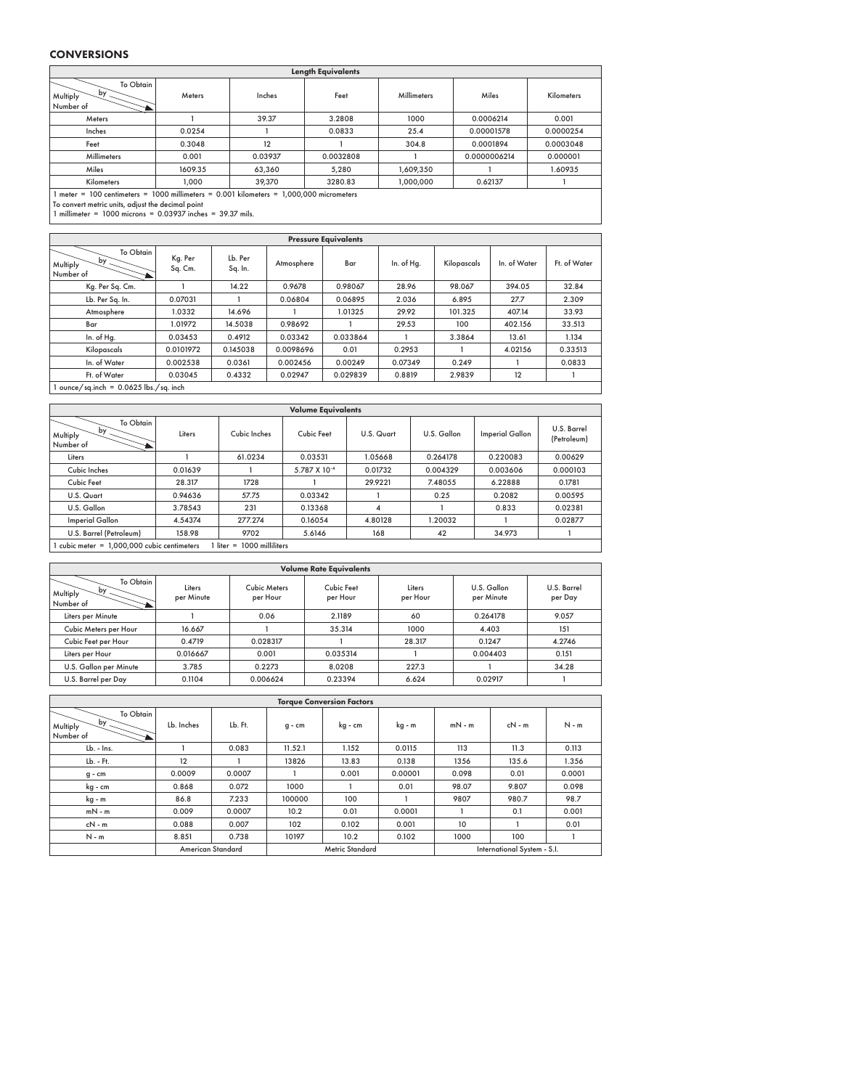#### **CONVERSIONS**

| <b>Length Equivalents</b>                                                                                  |         |         |           |                    |              |                   |  |  |  |  |  |
|------------------------------------------------------------------------------------------------------------|---------|---------|-----------|--------------------|--------------|-------------------|--|--|--|--|--|
| To Obtain<br>by<br>Multiply<br>Number of                                                                   | Meters  | Inches  | Feet      | <b>Millimeters</b> | Miles        | <b>Kilometers</b> |  |  |  |  |  |
| Meters                                                                                                     |         | 39.37   | 3.2808    | 1000               | 0.0006214    | 0.001             |  |  |  |  |  |
| Inches                                                                                                     | 0.0254  |         | 0.0833    | 25.4               | 0.00001578   | 0.0000254         |  |  |  |  |  |
| Feet                                                                                                       | 0.3048  | 12      |           | 304.8              | 0.0001894    | 0.0003048         |  |  |  |  |  |
| Millimeters                                                                                                | 0.001   | 0.03937 | 0.0032808 |                    | 0.0000006214 | 0.000001          |  |  |  |  |  |
| Miles                                                                                                      | 1609.35 | 63,360  | 5.280     | 1,609,350          |              | 1.60935           |  |  |  |  |  |
| Kilometers                                                                                                 | 1.000   | 39,370  | 3280.83   | 1,000,000          | 0.62137      |                   |  |  |  |  |  |
| $\mu_{\text{inter}} = 100$ continuiors = $1000$ millimeters = $0.001$ kilometers = $1.000,000$ micrometers |         |         |           |                    |              |                   |  |  |  |  |  |

1 meter = 100 centimeters = 1000 millimeters = 0.001 kilometers = 1,000,000 micrometers<br>To convert metric units, adjust the decimal point<br>1 millimeter = 1000 microns = 0.03937 inches = 39.37 mils.

| <b>Pressure Equivalents</b>                |                                        |                    |            |          |            |             |              |              |  |  |  |
|--------------------------------------------|----------------------------------------|--------------------|------------|----------|------------|-------------|--------------|--------------|--|--|--|
| To Obtain<br>by .<br>Multiply<br>Number of | Kg. Per<br>Sq. Cm.                     | Lb. Per<br>Sq. In. | Atmosphere | Bar      | In. of Hg. | Kilopascals | In. of Water | Ft. of Water |  |  |  |
| Kg. Per Sq. Cm.                            |                                        | 14.22              | 0.9678     | 0.98067  | 28.96      | 98.067      | 394.05       | 32.84        |  |  |  |
| Lb. Per Sq. In.                            | 0.07031                                |                    | 0.06804    | 0.06895  | 2.036      | 6.895       | 27.7         | 2.309        |  |  |  |
| Atmosphere                                 | 1.0332                                 | 14.696             |            | 1.01325  | 29.92      | 101.325     | 407.14       | 33.93        |  |  |  |
| Bar                                        | 1.01972                                | 14.5038            | 0.98692    |          | 29.53      | 100         | 402.156      | 33.513       |  |  |  |
| In. of Hg.                                 | 0.03453                                | 0.4912             | 0.03342    | 0.033864 |            | 3.3864      | 13.61        | 1.134        |  |  |  |
| Kilopascals                                | 0.0101972                              | 0.145038           | 0.0098696  | 0.01     | 0.2953     |             | 4.02156      | 0.33513      |  |  |  |
| In. of Water                               | 0.002538                               | 0.0361             | 0.002456   | 0.00249  | 0.07349    | 0.249       |              | 0.0833       |  |  |  |
| Ft. of Water                               | 0.03045                                | 0.4332             | 0.02947    | 0.029839 | 0.8819     | 2.9839      | 12           |              |  |  |  |
|                                            | ounce/sq.inch = $0.0625$ lbs./sq. inch |                    |            |          |            |             |              |              |  |  |  |

| <b>Volume Equivalents</b>                |                                                                                  |              |              |                |             |                        |                            |  |  |  |  |
|------------------------------------------|----------------------------------------------------------------------------------|--------------|--------------|----------------|-------------|------------------------|----------------------------|--|--|--|--|
| To Obtain<br>by<br>Multiply<br>Number of | Liters                                                                           | Cubic Inches | Cubic Feet   | U.S. Quart     | U.S. Gallon | <b>Imperial Gallon</b> | U.S. Barrel<br>(Petroleum) |  |  |  |  |
| Liters                                   |                                                                                  | 61.0234      | 0.03531      | 1.05668        | 0.264178    | 0.220083               | 0.00629                    |  |  |  |  |
| Cubic Inches                             | 0.01639                                                                          |              | 5.787 X 10-4 | 0.01732        | 0.004329    | 0.003606               | 0.000103                   |  |  |  |  |
| Cubic Feet                               | 28.317                                                                           | 1728         |              | 29.9221        | 7.48055     | 6.22888                | 0.1781                     |  |  |  |  |
| U.S. Quart                               | 0.94636                                                                          | 57.75        | 0.03342      |                | 0.25        | 0.2082                 | 0.00595                    |  |  |  |  |
| U.S. Gallon                              | 3.78543                                                                          | 231          | 0.13368      | $\overline{4}$ |             | 0.833                  | 0.02381                    |  |  |  |  |
| <b>Imperial Gallon</b>                   | 4.54374                                                                          | 277.274      | 0.16054      | 4.80128        | 1.20032     |                        | 0.02877                    |  |  |  |  |
| U.S. Barrel (Petroleum)                  | 158.98                                                                           | 9702         | 5.6146       | 168            | 42          | 34.973                 |                            |  |  |  |  |
|                                          | cubic meter = $1,000,000$ cubic centimeters<br>$\text{liter} = 1000$ milliliters |              |              |                |             |                        |                            |  |  |  |  |

| <b>Volume Rate Equivalents</b>           |                      |                                 |                        |                    |                           |                        |  |  |  |  |
|------------------------------------------|----------------------|---------------------------------|------------------------|--------------------|---------------------------|------------------------|--|--|--|--|
| To Obtain<br>by<br>Multiply<br>Number of | Liters<br>per Minute | <b>Cubic Meters</b><br>per Hour | Cubic Feet<br>per Hour | Liters<br>per Hour | U.S. Gallon<br>per Minute | U.S. Barrel<br>per Day |  |  |  |  |
| Liters per Minute                        |                      | 0.06                            | 2.1189                 | 60                 | 0.264178                  | 9.057                  |  |  |  |  |
| Cubic Meters per Hour<br>16.667          |                      |                                 | 35.314                 | 1000               | 4.403                     | 151                    |  |  |  |  |
| Cubic Feet per Hour                      | 0.4719               | 0.028317                        |                        | 28.317             | 0.1247                    | 4.2746                 |  |  |  |  |
| Liters per Hour                          | 0.016667             | 0.001                           | 0.035314               |                    | 0.004403                  | 0.151                  |  |  |  |  |
| U.S. Gallon per Minute<br>3.785          |                      | 0.2273                          | 8.0208                 | 227.3              |                           | 34.28                  |  |  |  |  |
| U.S. Barrel per Day                      | 0.1104               | 0.006624                        | 0.23394                | 6.624              | 0.02917                   |                        |  |  |  |  |

| <b>Torque Conversion Factors</b>         |                                                    |         |          |         |         |          |          |                             |  |  |  |
|------------------------------------------|----------------------------------------------------|---------|----------|---------|---------|----------|----------|-----------------------------|--|--|--|
| To Obtain<br>by<br>Multiply<br>Number of | Lb. Inches                                         | Lb. Ft. | $g - cm$ | kg - cm | kg - m  | $mN - m$ | $cN - m$ | $N - m$                     |  |  |  |
| Lb. - Ins.                               |                                                    | 0.083   | 11.52.1  | 1.152   | 0.0115  | 113      | 11.3     | 0.113                       |  |  |  |
| Lb. - Ft.                                | 12                                                 |         | 13826    | 13.83   | 0.138   | 1356     | 135.6    | 1.356                       |  |  |  |
| $g - cm$                                 | 0.0009                                             | 0.0007  |          | 0.001   | 0.00001 | 0.098    | 0.01     | 0.0001                      |  |  |  |
| kg - cm                                  | 0.868                                              | 0.072   | 1000     |         | 0.01    | 98.07    | 9.807    | 0.098                       |  |  |  |
| kg - m                                   | 86.8                                               | 7.233   | 100000   | 100     |         | 9807     | 980.7    | 98.7                        |  |  |  |
| $mN - m$                                 | 0.009                                              | 0.0007  | 10.2     | 0.01    | 0.0001  |          | 0.1      | 0.001                       |  |  |  |
| $cN - m$                                 | 0.088                                              | 0.007   | 102      | 0.102   | 0.001   | 10       |          | 0.01                        |  |  |  |
| $N - m$                                  | 8.851                                              | 0.738   | 10197    | 10.2    | 0.102   | 1000     | 100      |                             |  |  |  |
|                                          | <b>Metric Standard</b><br><b>American Standard</b> |         |          |         |         |          |          | International System - S.I. |  |  |  |